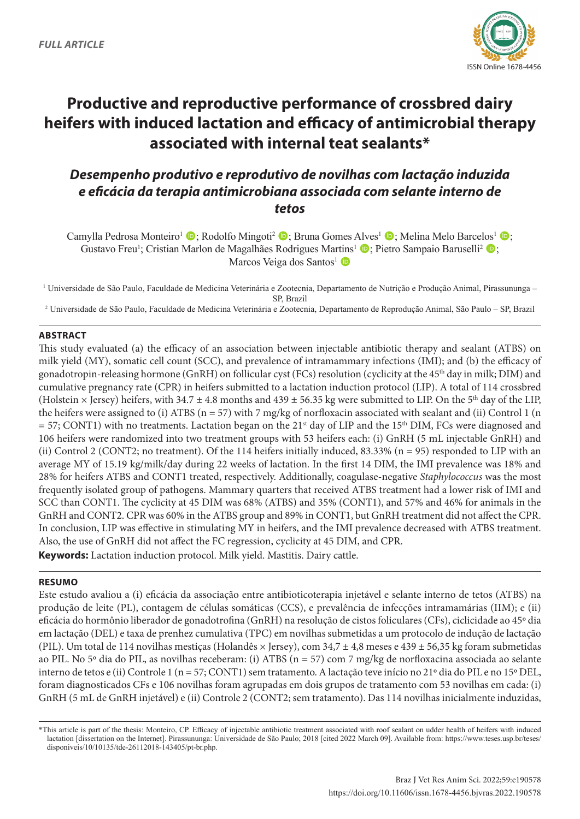

# **Productive and reproductive performance of crossbred dairy heifers with induced lactation and efficacy of antimicrobial therapy associated with internal teat sealants\***

## *Desempenho produtivo e reprodutivo de novilhas com lactação induzida e eficácia da terapia antimicrobiana associada com selante interno de tetos*

Camylla Pedrosa Monteiro<sup>1</sup>  $\bullet$ ; Rodolfo Mingoti<sup>2</sup>  $\bullet$ ; Bruna Gomes Alves<sup>1</sup>  $\bullet$ ; Melina Melo Barcelos<sup>1</sup>  $\bullet$ ; Gustavo Freu<sup>1</sup>; Cristian Marlon de Magalhães Rodrigues Martins<sup>1</sup> (D; Pietro Sampaio Baruselli<sup>2</sup> (D; Marcos Veiga dos Santos<sup>1</sup> D

<sup>1</sup> Universidade de São Paulo, Faculdade de Medicina Veterinária e Zootecnia, Departamento de Nutrição e Produção Animal, Pirassununga -SP, Brazil

2 Universidade de São Paulo, Faculdade de Medicina Veterinária e Zootecnia, Departamento de Reprodução Animal, São Paulo – SP, Brazil

### **ABSTRACT**

This study evaluated (a) the efficacy of an association between injectable antibiotic therapy and sealant (ATBS) on milk yield (MY), somatic cell count (SCC), and prevalence of intramammary infections (IMI); and (b) the efficacy of gonadotropin-releasing hormone (GnRH) on follicular cyst (FCs) resolution (cyclicity at the 45<sup>th</sup> day in milk; DIM) and cumulative pregnancy rate (CPR) in heifers submitted to a lactation induction protocol (LIP). A total of 114 crossbred (Holstein  $\times$  Jersey) heifers, with 34.7  $\pm$  4.8 months and 439  $\pm$  56.35 kg were submitted to LIP. On the 5<sup>th</sup> day of the LIP, the heifers were assigned to (i) ATBS ( $n = 57$ ) with 7 mg/kg of norfloxacin associated with sealant and (ii) Control 1 (n  $= 57$ ; CONT1) with no treatments. Lactation began on the 21<sup>st</sup> day of LIP and the 15<sup>th</sup> DIM, FCs were diagnosed and 106 heifers were randomized into two treatment groups with 53 heifers each: (i) GnRH (5 mL injectable GnRH) and (ii) Control 2 (CONT2; no treatment). Of the 114 heifers initially induced, 83.33% (n = 95) responded to LIP with an average MY of 15.19 kg/milk/day during 22 weeks of lactation. In the first 14 DIM, the IMI prevalence was 18% and 28% for heifers ATBS and CONT1 treated, respectively. Additionally, coagulase-negative *Staphylococcus* was the most frequently isolated group of pathogens. Mammary quarters that received ATBS treatment had a lower risk of IMI and SCC than CONT1. The cyclicity at 45 DIM was 68% (ATBS) and 35% (CONT1), and 57% and 46% for animals in the GnRH and CONT2. CPR was 60% in the ATBS group and 89% in CONT1, but GnRH treatment did not affect the CPR. In conclusion, LIP was effective in stimulating MY in heifers, and the IMI prevalence decreased with ATBS treatment. Also, the use of GnRH did not affect the FC regression, cyclicity at 45 DIM, and CPR. **Keywords:** Lactation induction protocol. Milk yield. Mastitis. Dairy cattle.

#### **RESUMO**

Este estudo avaliou a (i) eficácia da associação entre antibioticoterapia injetável e selante interno de tetos (ATBS) na produção de leite (PL), contagem de células somáticas (CCS), e prevalência de infecções intramamárias (IIM); e (ii) eficácia do hormônio liberador de gonadotrofina (GnRH) na resolução de cistos foliculares (CFs), ciclicidade ao 45º dia em lactação (DEL) e taxa de prenhez cumulativa (TPC) em novilhas submetidas a um protocolo de indução de lactação (PIL). Um total de 114 novilhas mestiças (Holandês  $\times$  Jersey), com 34,7  $\pm$  4,8 meses e 439  $\pm$  56,35 kg foram submetidas ao PIL. No 5º dia do PIL, as novilhas receberam: (i) ATBS (n = 57) com 7 mg/kg de norfloxacina associada ao selante interno de tetos e (ii) Controle 1 (n = 57; CONT1) sem tratamento. A lactação teve início no 21º dia do PIL e no 15º DEL, foram diagnosticados CFs e 106 novilhas foram agrupadas em dois grupos de tratamento com 53 novilhas em cada: (i) GnRH (5 mL de GnRH injetável) e (ii) Controle 2 (CONT2; sem tratamento). Das 114 novilhas inicialmente induzidas,

<sup>\*</sup>This article is part of the thesis: Monteiro, CP. Efficacy of injectable antibiotic treatment associated with roof sealant on udder health of heifers with induced lactation [dissertation on the Internet]. Pirassununga: Universidade de São Paulo; 2018 [cited 2022 March 09]. Available from: [https://www.teses.usp.br/teses/](https://www.teses.usp.br/teses/disponiveis/10/10135/tde-26112018-143405/pt-br.php) [disponiveis/10/10135/tde-26112018-143405/pt-br.php](https://www.teses.usp.br/teses/disponiveis/10/10135/tde-26112018-143405/pt-br.php).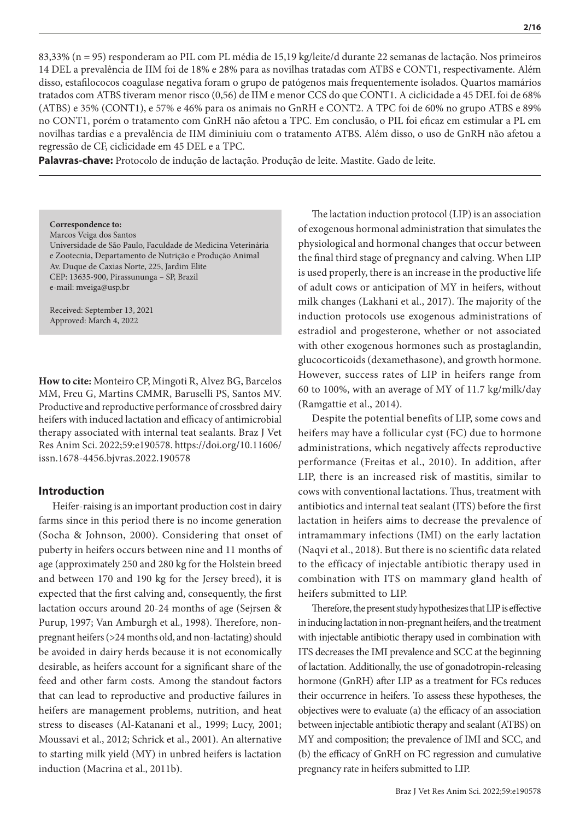83,33% (n = 95) responderam ao PIL com PL média de 15,19 kg/leite/d durante 22 semanas de lactação. Nos primeiros 14 DEL a prevalência de IIM foi de 18% e 28% para as novilhas tratadas com ATBS e CONT1, respectivamente. Além disso, estafilococos coagulase negativa foram o grupo de patógenos mais frequentemente isolados. Quartos mamários tratados com ATBS tiveram menor risco (0,56) de IIM e menor CCS do que CONT1. A ciclicidade a 45 DEL foi de 68% (ATBS) e 35% (CONT1), e 57% e 46% para os animais no GnRH e CONT2. A TPC foi de 60% no grupo ATBS e 89% no CONT1, porém o tratamento com GnRH não afetou a TPC. Em conclusão, o PIL foi eficaz em estimular a PL em novilhas tardias e a prevalência de IIM diminiuiu com o tratamento ATBS. Além disso, o uso de GnRH não afetou a regressão de CF, ciclicidade em 45 DEL e a TPC.

**Palavras-chave:** Protocolo de indução de lactação. Produção de leite. Mastite. Gado de leite.

**Correspondence to:** Marcos Veiga dos Santos Universidade de São Paulo, Faculdade de Medicina Veterinária e Zootecnia, Departamento de Nutrição e Produção Animal Av. Duque de Caxias Norte, 225, Jardim Elite CEP: 13635-900, Pirassununga – SP, Brazil e-mail: mveiga@usp.br

Received: September 13, 2021 Approved: March 4, 2022

**How to cite:** Monteiro CP, Mingoti R, Alvez BG, Barcelos MM, Freu G, Martins CMMR, Baruselli PS, Santos MV. Productive and reproductive performance of crossbred dairy heifers with induced lactation and efficacy of antimicrobial therapy associated with internal teat sealants. Braz J Vet Res Anim Sci. 2022;59:e190578. https://doi.org/10.11606/ issn.1678-4456.bjvras.2022.190578

#### **Introduction**

Heifer-raising is an important production cost in dairy farms since in this period there is no income generation (Socha & Johnson, 2000). Considering that onset of puberty in heifers occurs between nine and 11 months of age (approximately 250 and 280 kg for the Holstein breed and between 170 and 190 kg for the Jersey breed), it is expected that the first calving and, consequently, the first lactation occurs around 20-24 months of age (Sejrsen & Purup, 1997; Van Amburgh et al., 1998). Therefore, nonpregnant heifers (>24 months old, and non-lactating) should be avoided in dairy herds because it is not economically desirable, as heifers account for a significant share of the feed and other farm costs. Among the standout factors that can lead to reproductive and productive failures in heifers are management problems, nutrition, and heat stress to diseases (Al-Katanani et al., 1999; Lucy, 2001; Moussavi et al., 2012; Schrick et al., 2001). An alternative to starting milk yield (MY) in unbred heifers is lactation induction (Macrina et al., 2011b).

The lactation induction protocol (LIP) is an association of exogenous hormonal administration that simulates the physiological and hormonal changes that occur between the final third stage of pregnancy and calving. When LIP is used properly, there is an increase in the productive life of adult cows or anticipation of MY in heifers, without milk changes (Lakhani et al., 2017). The majority of the induction protocols use exogenous administrations of estradiol and progesterone, whether or not associated with other exogenous hormones such as prostaglandin, glucocorticoids (dexamethasone), and growth hormone. However, success rates of LIP in heifers range from 60 to 100%, with an average of MY of 11.7 kg/milk/day (Ramgattie et al., 2014).

Despite the potential benefits of LIP, some cows and heifers may have a follicular cyst (FC) due to hormone administrations, which negatively affects reproductive performance (Freitas et al., 2010). In addition, after LIP, there is an increased risk of mastitis, similar to cows with conventional lactations. Thus, treatment with antibiotics and internal teat sealant (ITS) before the first lactation in heifers aims to decrease the prevalence of intramammary infections (IMI) on the early lactation (Naqvi et al., 2018). But there is no scientific data related to the efficacy of injectable antibiotic therapy used in combination with ITS on mammary gland health of heifers submitted to LIP.

Therefore, the present study hypothesizes that LIP is effective in inducing lactation in non-pregnant heifers, and the treatment with injectable antibiotic therapy used in combination with ITS decreases the IMI prevalence and SCC at the beginning of lactation. Additionally, the use of gonadotropin-releasing hormone (GnRH) after LIP as a treatment for FCs reduces their occurrence in heifers. To assess these hypotheses, the objectives were to evaluate (a) the efficacy of an association between injectable antibiotic therapy and sealant (ATBS) on MY and composition; the prevalence of IMI and SCC, and (b) the efficacy of GnRH on FC regression and cumulative pregnancy rate in heifers submitted to LIP.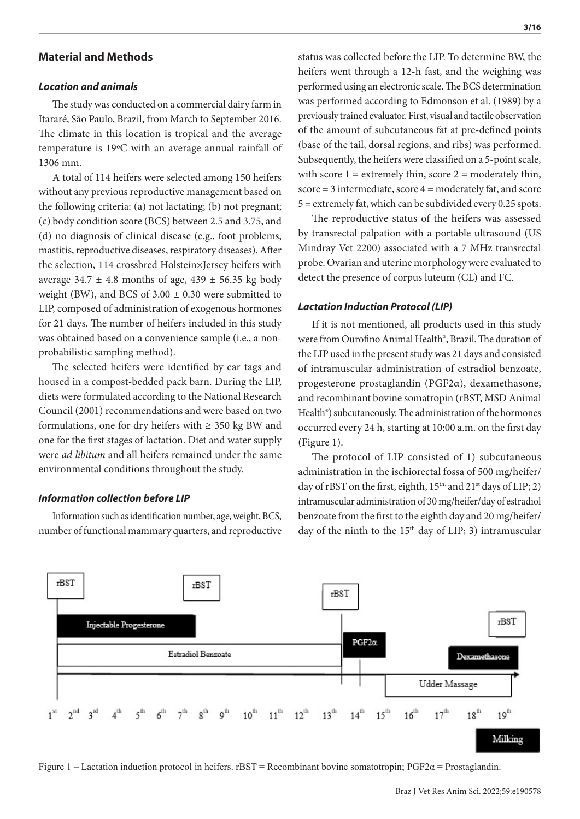## **Material and Methods**

#### *Location and animals*

The study was conducted on a commercial dairy farm in Itararé, São Paulo, Brazil, from March to September 2016. The climate in this location is tropical and the average temperature is 19ºC with an average annual rainfall of 1306 mm.

A total of 114 heifers were selected among 150 heifers without any previous reproductive management based on the following criteria: (a) not lactating; (b) not pregnant; (c) body condition score (BCS) between 2.5 and 3.75, and (d) no diagnosis of clinical disease (e.g., foot problems, mastitis, reproductive diseases, respiratory diseases). After the selection, 114 crossbred Holstein×Jersey heifers with average 34.7  $\pm$  4.8 months of age, 439  $\pm$  56.35 kg body weight (BW), and BCS of  $3.00 \pm 0.30$  were submitted to LIP, composed of administration of exogenous hormones for 21 days. The number of heifers included in this study was obtained based on a convenience sample (i.e., a nonprobabilistic sampling method).

The selected heifers were identified by ear tags and housed in a compost-bedded pack barn. During the LIP, diets were formulated according to the National Research Council (2001) recommendations and were based on two formulations, one for dry heifers with  $\geq$  350 kg BW and one for the first stages of lactation. Diet and water supply were *ad libitum* and all heifers remained under the same environmental conditions throughout the study.

#### *Information collection before LIP*

Information such as identification number, age, weight, BCS, number of functional mammary quarters, and reproductive status was collected before the LIP. To determine BW, the heifers went through a 12-h fast, and the weighing was performed using an electronic scale. The BCS determination was performed according to Edmonson et al. (1989) by a previously trained evaluator. First, visual and tactile observation of the amount of subcutaneous fat at pre-defined points (base of the tail, dorsal regions, and ribs) was performed. Subsequently, the heifers were classified on a 5-point scale, with score  $1 =$  extremely thin, score  $2 =$  moderately thin, score = 3 intermediate, score 4 = moderately fat, and score 5 = extremely fat, which can be subdivided every 0.25 spots.

The reproductive status of the heifers was assessed by transrectal palpation with a portable ultrasound (US Mindray Vet 2200) associated with a 7 MHz transrectal probe. Ovarian and uterine morphology were evaluated to detect the presence of corpus luteum (CL) and FC.

#### *Lactation Induction Protocol (LIP)*

If it is not mentioned, all products used in this study were from Ourofino Animal Health®, Brazil. The duration of the LIP used in the present study was 21 days and consisted of intramuscular administration of estradiol benzoate, progesterone prostaglandin (PGF2α), dexamethasone, and recombinant bovine somatropin (rBST, MSD Animal Health®) subcutaneously. The administration of the hormones occurred every 24 h, starting at 10:00 a.m. on the first day (Figure 1).

The protocol of LIP consisted of 1) subcutaneous administration in the ischiorectal fossa of 500 mg/heifer/ day of rBST on the first, eighth, 15<sup>th,</sup> and 21<sup>st</sup> days of LIP; 2) intramuscular administration of 30 mg/heifer/day of estradiol benzoate from the first to the eighth day and 20 mg/heifer/ day of the ninth to the 15<sup>th</sup> day of LIP; 3) intramuscular



Figure 1 – Lactation induction protocol in heifers. rBST = Recombinant bovine somatotropin;  $PGF2\alpha$  = Prostaglandin.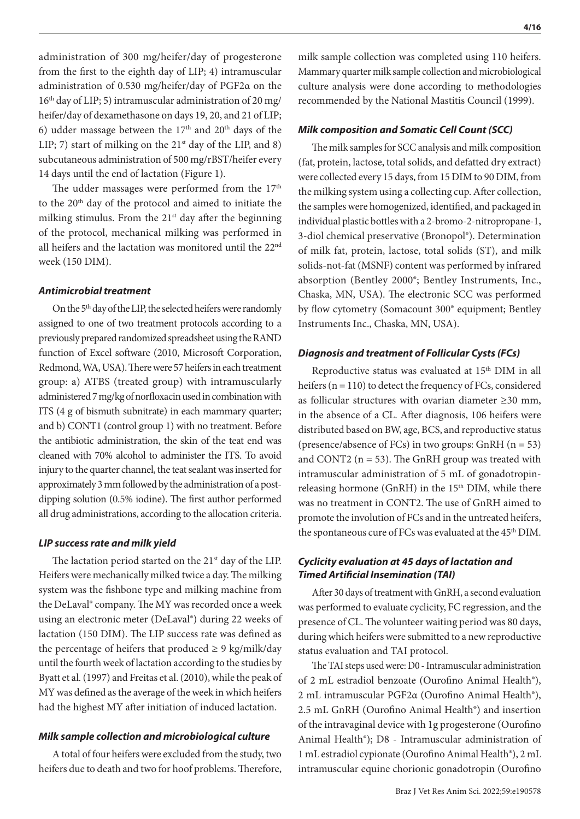administration of 300 mg/heifer/day of progesterone from the first to the eighth day of LIP; 4) intramuscular administration of 0.530 mg/heifer/day of PGF2α on the 16th day of LIP; 5) intramuscular administration of 20 mg/ heifer/day of dexamethasone on days 19, 20, and 21 of LIP; 6) udder massage between the  $17<sup>th</sup>$  and  $20<sup>th</sup>$  days of the LIP; 7) start of milking on the  $21<sup>st</sup>$  day of the LIP, and 8) subcutaneous administration of 500 mg/rBST/heifer every 14 days until the end of lactation (Figure 1).

The udder massages were performed from the  $17<sup>th</sup>$ to the 20th day of the protocol and aimed to initiate the milking stimulus. From the  $21<sup>st</sup>$  day after the beginning of the protocol, mechanical milking was performed in all heifers and the lactation was monitored until the 22nd week (150 DIM).

#### *Antimicrobial treatment*

On the 5<sup>th</sup> day of the LIP, the selected heifers were randomly assigned to one of two treatment protocols according to a previously prepared randomized spreadsheet using the RAND function of Excel software (2010, Microsoft Corporation, Redmond, WA, USA). There were 57 heifers in each treatment group: a) ATBS (treated group) with intramuscularly administered 7 mg/kg of norfloxacin used in combination with ITS (4 g of bismuth subnitrate) in each mammary quarter; and b) CONT1 (control group 1) with no treatment. Before the antibiotic administration, the skin of the teat end was cleaned with 70% alcohol to administer the ITS. To avoid injury to the quarter channel, the teat sealant was inserted for approximately 3 mm followed by the administration of a postdipping solution (0.5% iodine). The first author performed all drug administrations, according to the allocation criteria.

#### *LIP success rate and milk yield*

The lactation period started on the  $21<sup>st</sup>$  day of the LIP. Heifers were mechanically milked twice a day. The milking system was the fishbone type and milking machine from the DeLaval® company. The MY was recorded once a week using an electronic meter (DeLaval®) during 22 weeks of lactation (150 DIM). The LIP success rate was defined as the percentage of heifers that produced  $\geq 9$  kg/milk/day until the fourth week of lactation according to the studies by Byatt et al. (1997) and Freitas et al. (2010), while the peak of MY was defined as the average of the week in which heifers had the highest MY after initiation of induced lactation.

#### *Milk sample collection and microbiological culture*

A total of four heifers were excluded from the study, two heifers due to death and two for hoof problems. Therefore, milk sample collection was completed using 110 heifers. Mammary quarter milk sample collection and microbiological culture analysis were done according to methodologies recommended by the National Mastitis Council (1999).

#### *Milk composition and Somatic Cell Count (SCC)*

The milk samples for SCC analysis and milk composition (fat, protein, lactose, total solids, and defatted dry extract) were collected every 15 days, from 15 DIM to 90 DIM, from the milking system using a collecting cup. After collection, the samples were homogenized, identified, and packaged in individual plastic bottles with a 2-bromo-2-nitropropane-1, 3-diol chemical preservative (Bronopol®). Determination of milk fat, protein, lactose, total solids (ST), and milk solids-not-fat (MSNF) content was performed by infrared absorption (Bentley 2000®; Bentley Instruments, Inc., Chaska, MN, USA). The electronic SCC was performed by flow cytometry (Somacount 300® equipment; Bentley Instruments Inc., Chaska, MN, USA).

#### *Diagnosis and treatment of Follicular Cysts (FCs)*

Reproductive status was evaluated at 15<sup>th</sup> DIM in all heifers  $(n = 110)$  to detect the frequency of FCs, considered as follicular structures with ovarian diameter ≥30 mm, in the absence of a CL. After diagnosis, 106 heifers were distributed based on BW, age, BCS, and reproductive status (presence/absence of FCs) in two groups: GnRH  $(n = 53)$ and CONT2 ( $n = 53$ ). The GnRH group was treated with intramuscular administration of 5 mL of gonadotropinreleasing hormone (GnRH) in the 15<sup>th</sup> DIM, while there was no treatment in CONT2. The use of GnRH aimed to promote the involution of FCs and in the untreated heifers, the spontaneous cure of FCs was evaluated at the 45<sup>th</sup> DIM.

## *Cyclicity evaluation at 45 days of lactation and Timed Artificial Insemination (TAI)*

After 30 days of treatment with GnRH, a second evaluation was performed to evaluate cyclicity, FC regression, and the presence of CL. The volunteer waiting period was 80 days, during which heifers were submitted to a new reproductive status evaluation and TAI protocol.

The TAI steps used were: D0 - Intramuscular administration of 2 mL estradiol benzoate (Ourofino Animal Health®), 2 mL intramuscular PGF2α (Ourofino Animal Health®), 2.5 mL GnRH (Ourofino Animal Health®) and insertion of the intravaginal device with 1g progesterone (Ourofino Animal Health®); D8 - Intramuscular administration of 1 mL estradiol cypionate (Ourofino Animal Health®), 2 mL intramuscular equine chorionic gonadotropin (Ourofino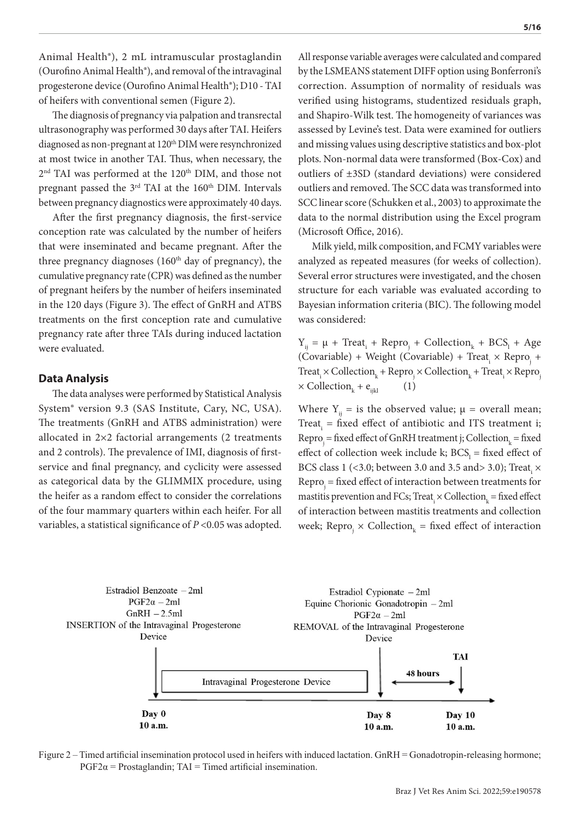Animal Health®), 2 mL intramuscular prostaglandin (Ourofino Animal Health®), and removal of the intravaginal progesterone device (Ourofino Animal Health®); D10 - TAI of heifers with conventional semen (Figure 2).

The diagnosis of pregnancy via palpation and transrectal ultrasonography was performed 30 days after TAI. Heifers diagnosed as non-pregnant at 120<sup>th</sup> DIM were resynchronized at most twice in another TAI. Thus, when necessary, the 2<sup>nd</sup> TAI was performed at the 120<sup>th</sup> DIM, and those not pregnant passed the 3<sup>rd</sup> TAI at the 160<sup>th</sup> DIM. Intervals between pregnancy diagnostics were approximately 40 days.

After the first pregnancy diagnosis, the first-service conception rate was calculated by the number of heifers that were inseminated and became pregnant. After the three pregnancy diagnoses  $(160<sup>th</sup>$  day of pregnancy), the cumulative pregnancy rate (CPR) was defined as the number of pregnant heifers by the number of heifers inseminated in the 120 days (Figure 3). The effect of GnRH and ATBS treatments on the first conception rate and cumulative pregnancy rate after three TAIs during induced lactation were evaluated.

### **Data Analysis**

The data analyses were performed by Statistical Analysis System® version 9.3 (SAS Institute, Cary, NC, USA). The treatments (GnRH and ATBS administration) were allocated in 2×2 factorial arrangements (2 treatments and 2 controls). The prevalence of IMI, diagnosis of firstservice and final pregnancy, and cyclicity were assessed as categorical data by the GLIMMIX procedure, using the heifer as a random effect to consider the correlations of the four mammary quarters within each heifer. For all variables, a statistical significance of *P* <0.05 was adopted.

**5/16**

All response variable averages were calculated and compared by the LSMEANS statement DIFF option using Bonferroni's correction. Assumption of normality of residuals was verified using histograms, studentized residuals graph, and Shapiro-Wilk test. The homogeneity of variances was assessed by Levine's test. Data were examined for outliers and missing values using descriptive statistics and box-plot plots. Non-normal data were transformed (Box-Cox) and outliers of ±3SD (standard deviations) were considered outliers and removed. The SCC data was transformed into SCC linear score (Schukken et al., 2003) to approximate the data to the normal distribution using the Excel program (Microsoft Office, 2016).

Milk yield, milk composition, and FCMY variables were analyzed as repeated measures (for weeks of collection). Several error structures were investigated, and the chosen structure for each variable was evaluated according to Bayesian information criteria (BIC). The following model was considered:

 $Y_{ij} = \mu + \text{Treat}_i + \text{Repro}_j + \text{Collection}_k + \text{BCS}_i + \text{Age}$  $(Covariable)$  + Weight  $(Covariable)$  + Treat<sub>i</sub> × Repro<sub>j</sub> +  $\text{Treat}_i \times \text{Collection}_{k} + \text{Repro}_j \times \text{Collection}_{k} + \text{Treat}_i \times \text{Repro}_j$  $\times$  Collection<sub>k</sub> + e<sub>ijkl</sub> (1)

Where  $Y_{ii}$  = is the observed value;  $\mu$  = overall mean; Treat<sub>i</sub> = fixed effect of antibiotic and ITS treatment i;  $\text{Repro}_j = \text{fixed effect of GnRH treatment}$  j; Collection<sub>k</sub> = fixed effect of collection week include k;  $BCS<sub>1</sub>$  = fixed effect of BCS class 1 (<3.0; between 3.0 and 3.5 and<br>> 3.0); Treat,  $\times$  $\text{Repro}_j = \text{fixed effect}$  of interaction between treatments for mastitis prevention and FCs; Treat<sub>i</sub>  $\times$  Collection<sub>k</sub> = fixed effect of interaction between mastitis treatments and collection week; Repro<sub>j</sub>  $\times$  Collection<sub>k</sub> = fixed effect of interaction



Figure 2 – Timed artificial insemination protocol used in heifers with induced lactation. GnRH = Gonadotropin-releasing hormone;  $PGF2\alpha = Prostaglandin; TAI = Timed artificial insemination.$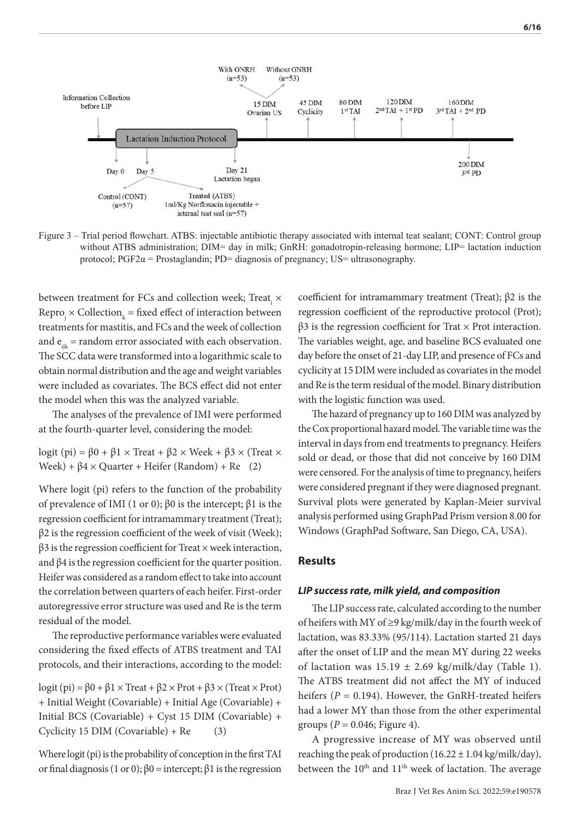

Figure 3 – Trial period flowchart. ATBS: injectable antibiotic therapy associated with internal teat sealant; CONT: Control group without ATBS administration; DIM= day in milk; GnRH: gonadotropin-releasing hormone; LIP= lactation induction protocol;  $PGF2\alpha$  = Prostaglandin; PD= diagnosis of pregnancy; US= ultrasonography.

between treatment for FCs and collection week; Treat<sub>i</sub>  $\times$  $\text{Repro}_j \times \text{Collection}_k = \text{fixed effect of interaction between}$ treatments for mastitis, and FCs and the week of collection and  $e_{ijk}$  = random error associated with each observation. The SCC data were transformed into a logarithmic scale to obtain normal distribution and the age and weight variables were included as covariates. The BCS effect did not enter the model when this was the analyzed variable.

The analyses of the prevalence of IMI were performed at the fourth-quarter level, considering the model:

logit (pi) =  $β0 + β1 × Treat + β2 × Week + β3 × (Treat ×)$ Week) +  $\beta$ 4 × Quarter + Heifer (Random) + Re (2)

Where logit (pi) refers to the function of the probability of prevalence of IMI (1 or 0); β0 is the intercept; β1 is the regression coefficient for intramammary treatment (Treat);  $\beta$ 2 is the regression coefficient of the week of visit (Week);  $β3$  is the regression coefficient for Treat × week interaction, and β4 is the regression coefficient for the quarter position. Heifer was considered as a random effect to take into account the correlation between quarters of each heifer. First-order autoregressive error structure was used and Re is the term residual of the model.

The reproductive performance variables were evaluated considering the fixed effects of ATBS treatment and TAI protocols, and their interactions, according to the model:

logit (pi) =  $\beta$ 0 +  $\beta$ 1 × Treat +  $\beta$ 2 × Prot +  $\beta$ 3 × (Treat × Prot) + Initial Weight (Covariable) + Initial Age (Covariable) + Initial BCS (Covariable) + Cyst 15 DIM (Covariable) +  $Cyclicity 15 DIM (Covariable) + Re$  (3)

Where logit (pi) is the probability of conception in the first TAI or final diagnosis (1 or 0);  $β0 =$  intercept;  $β1$  is the regression

coefficient for intramammary treatment (Treat); β2 is the regression coefficient of the reproductive protocol (Prot);  $β3$  is the regression coefficient for Trat  $×$  Prot interaction. The variables weight, age, and baseline BCS evaluated one day before the onset of 21-day LIP, and presence of FCs and cyclicity at 15 DIM were included as covariates in the model and Re is the term residual of the model. Binary distribution with the logistic function was used.

The hazard of pregnancy up to 160 DIM was analyzed by the Cox proportional hazard model. The variable time was the interval in days from end treatments to pregnancy. Heifers sold or dead, or those that did not conceive by 160 DIM were censored. For the analysis of time to pregnancy, heifers were considered pregnant if they were diagnosed pregnant. Survival plots were generated by Kaplan-Meier survival analysis performed using GraphPad Prism version 8.00 for Windows (GraphPad Software, San Diego, CA, USA).

#### **Results**

#### *LIP success rate, milk yield, and composition*

The LIP success rate, calculated according to the number of heifers with MY of ≥9 kg/milk/day in the fourth week of lactation, was 83.33% (95/114). Lactation started 21 days after the onset of LIP and the mean MY during 22 weeks of lactation was  $15.19 \pm 2.69$  kg/milk/day (Table 1). The ATBS treatment did not affect the MY of induced heifers  $(P = 0.194)$ . However, the GnRH-treated heifers had a lower MY than those from the other experimental groups  $(P = 0.046;$  Figure 4).

A progressive increase of MY was observed until reaching the peak of production  $(16.22 \pm 1.04 \text{ kg/milk/day})$ , between the 10<sup>th</sup> and 11<sup>th</sup> week of lactation. The average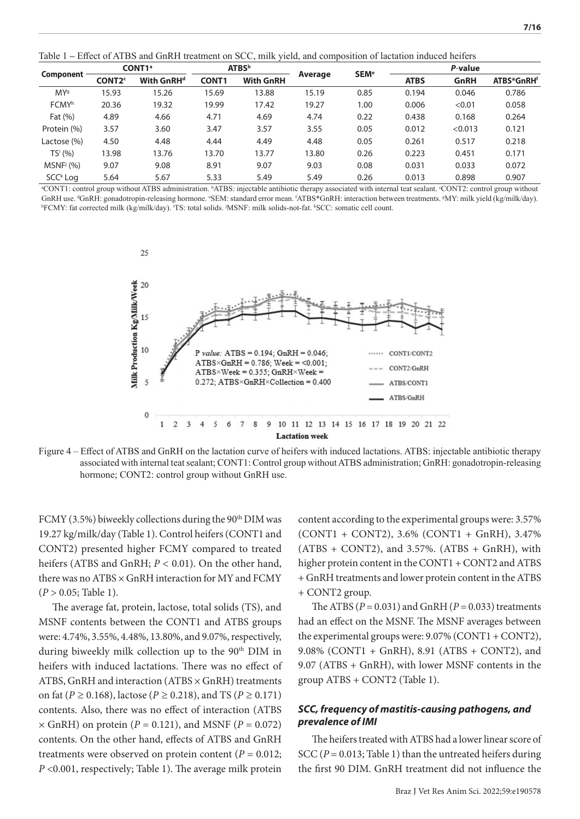Table 1 **–** Effect of ATBS and GnRH treatment on SCC, milk yield, and composition of lactation induced heifers

| <b>Component</b>      | CONT <sub>1</sub> <sup>a</sup> |                        | <b>ATBS</b> <sup>b</sup> |                  |         |                        | P-value     |         |                        |  |
|-----------------------|--------------------------------|------------------------|--------------------------|------------------|---------|------------------------|-------------|---------|------------------------|--|
|                       | <b>CONT2<sup>c</sup></b>       | With GnRH <sup>d</sup> | <b>CONT1</b>             | <b>With GnRH</b> | Average | <b>SEM<sup>e</sup></b> | <b>ATBS</b> | GnRH    | ATBS*GnRH <sup>f</sup> |  |
| MY <sup>9</sup>       | 15.93                          | 15.26                  | 15.69                    | 13.88            | 15.19   | 0.85                   | 0.194       | 0.046   | 0.786                  |  |
| <b>FCMYh</b>          | 20.36                          | 19.32                  | 19.99                    | 17.42            | 19.27   | 1.00                   | 0.006       | < 0.01  | 0.058                  |  |
| Fat $(\%)$            | 4.89                           | 4.66                   | 4.71                     | 4.69             | 4.74    | 0.22                   | 0.438       | 0.168   | 0.264                  |  |
| Protein (%)           | 3.57                           | 3.60                   | 3.47                     | 3.57             | 3.55    | 0.05                   | 0.012       | < 0.013 | 0.121                  |  |
| Lactose (%)           | 4.50                           | 4.48                   | 4.44                     | 4.49             | 4.48    | 0.05                   | 0.261       | 0.517   | 0.218                  |  |
| TS <sup>i</sup> (%)   | 13.98                          | 13.76                  | 13.70                    | 13.77            | 13.80   | 0.26                   | 0.223       | 0.451   | 0.171                  |  |
| MSNF <sup>j</sup> (%) | 9.07                           | 9.08                   | 8.91                     | 9.07             | 9.03    | 0.08                   | 0.031       | 0.033   | 0.072                  |  |
| SCC <sup>k</sup> Log  | 5.64                           | 5.67                   | 5.33                     | 5.49             | 5.49    | 0.26                   | 0.013       | 0.898   | 0.907                  |  |

a CONT1: control group without ATBS administration. <sup>b</sup> ATBS: injectable antibiotic therapy associated with internal teat sealant. <sup>c</sup> CONT2: control group without GnRH use. <sup>d</sup>GnRH: gonadotropin-releasing hormone. °SEM: standard error mean. <sup>f</sup>ATBS\*GnRH: interaction between treatments. <sup>g</sup>MY: milk yield (kg/milk/day). hFCMY: fat corrected milk (kg/milk/day). 'TS: total solids. MSNF: milk solids-not-fat. kSCC: somatic cell count.



Figure 4 – Effect of ATBS and GnRH on the lactation curve of heifers with induced lactations. ATBS: injectable antibiotic therapy associated with internal teat sealant; CONT1: Control group without ATBS administration; GnRH: gonadotropin-releasing hormone; CONT2: control group without GnRH use.

FCMY (3.5%) biweekly collections during the 90<sup>th</sup> DIM was 19.27 kg/milk/day (Table 1). Control heifers (CONT1 and CONT2) presented higher FCMY compared to treated heifers (ATBS and GnRH; *P <* 0.01). On the other hand, there was no ATBS × GnRH interaction for MY and FCMY (*P* > 0.05; Table 1).

The average fat, protein, lactose, total solids (TS), and MSNF contents between the CONT1 and ATBS groups were: 4.74%, 3.55%, 4.48%, 13.80%, and 9.07%, respectively, during biweekly milk collection up to the 90<sup>th</sup> DIM in heifers with induced lactations. There was no effect of ATBS, GnRH and interaction (ATBS × GnRH) treatments on fat (*P ≥* 0.168), lactose (*P ≥* 0.218), and TS (*P ≥* 0.171) contents. Also, there was no effect of interaction (ATBS  $\times$  GnRH) on protein ( $P = 0.121$ ), and MSNF ( $P = 0.072$ ) contents. On the other hand, effects of ATBS and GnRH treatments were observed on protein content ( $P = 0.012$ ; *P* <0.001, respectively; Table 1). The average milk protein

content according to the experimental groups were: 3.57% (CONT1 + CONT2), 3.6% (CONT1 + GnRH), 3.47%  $(ATBS + CONT2)$ , and 3.57%.  $(ATBS + GnRH)$ , with higher protein content in the CONT1 + CONT2 and ATBS + GnRH treatments and lower protein content in the ATBS + CONT2 group.

The ATBS  $(P = 0.031)$  and GnRH  $(P = 0.033)$  treatments had an effect on the MSNF. The MSNF averages between the experimental groups were:  $9.07\%$  (CONT1 + CONT2), 9.08% (CONT1 + GnRH), 8.91 (ATBS + CONT2), and 9.07 (ATBS + GnRH), with lower MSNF contents in the group ATBS + CONT2 (Table 1).

## *SCC, frequency of mastitis-causing pathogens, and prevalence of IMI*

The heifers treated with ATBS had a lower linear score of SCC (*P* = 0.013; Table 1) than the untreated heifers during the first 90 DIM. GnRH treatment did not influence the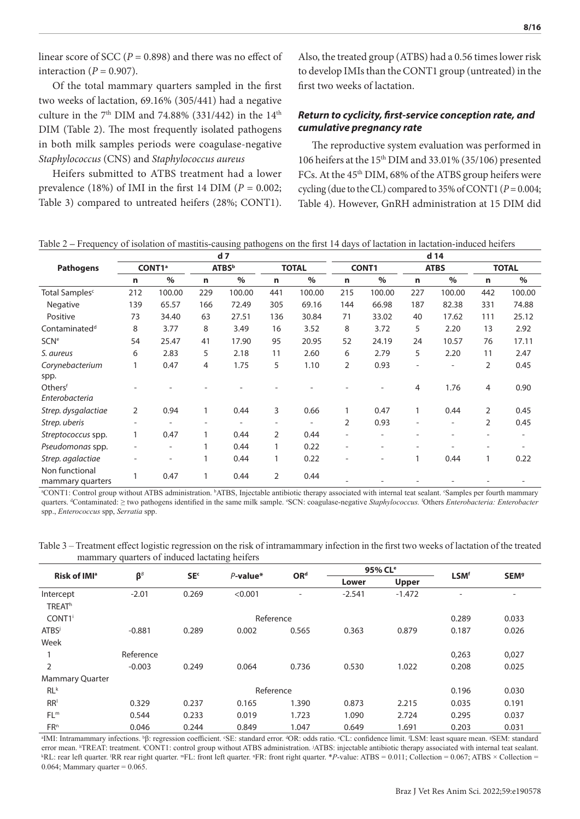linear score of SCC ( $P = 0.898$ ) and there was no effect of interaction ( $P = 0.907$ ).

Of the total mammary quarters sampled in the first two weeks of lactation, 69.16% (305/441) had a negative culture in the  $7<sup>th</sup>$  DIM and 74.88% (331/442) in the  $14<sup>th</sup>$ DIM (Table 2). The most frequently isolated pathogens in both milk samples periods were coagulase-negative *Staphylococcus* (CNS) and *Staphylococcus aureus*

Heifers submitted to ATBS treatment had a lower prevalence (18%) of IMI in the first 14 DIM ( $P = 0.002$ ; Table 3) compared to untreated heifers (28%; CONT1). Also, the treated group (ATBS) had a 0.56 times lower risk to develop IMIs than the CONT1 group (untreated) in the first two weeks of lactation.

## *Return to cyclicity, first-service conception rate, and cumulative pregnancy rate*

The reproductive system evaluation was performed in 106 heifers at the 15th DIM and 33.01% (35/106) presented FCs. At the 45<sup>th</sup> DIM, 68% of the ATBS group heifers were cycling (due to the CL) compared to 35% of CONT1 (*P* = 0.004; Table 4). However, GnRH administration at 15 DIM did

|                                    | d <sub>7</sub>           |                          |                          |                |                          |                          |              | d 14           |                          |                          |                |                          |  |
|------------------------------------|--------------------------|--------------------------|--------------------------|----------------|--------------------------|--------------------------|--------------|----------------|--------------------------|--------------------------|----------------|--------------------------|--|
| <b>Pathogens</b>                   | CONT1 <sup>a</sup>       |                          | <b>ATBS</b> <sup>b</sup> |                | <b>TOTAL</b>             |                          | <b>CONT1</b> |                | <b>ATBS</b>              |                          | <b>TOTAL</b>   |                          |  |
|                                    | n                        | $\%$                     | n                        | $\%$           | n                        | $\frac{0}{0}$            | n            | $\frac{0}{0}$  | n                        | $\%$                     | n              | $\%$                     |  |
| Total Samples <sup>c</sup>         | 212                      | 100.00                   | 229                      | 100.00         | 441                      | 100.00                   | 215          | 100.00         | 227                      | 100.00                   | 442            | 100.00                   |  |
| Negative                           | 139                      | 65.57                    | 166                      | 72.49          | 305                      | 69.16                    | 144          | 66.98          | 187                      | 82.38                    | 331            | 74.88                    |  |
| Positive                           | 73                       | 34.40                    | 63                       | 27.51          | 136                      | 30.84                    | 71           | 33.02          | 40                       | 17.62                    | 111            | 25.12                    |  |
| Contaminated <sup>d</sup>          | 8                        | 3.77                     | 8                        | 3.49           | 16                       | 3.52                     | 8            | 3.72           | 5                        | 2.20                     | 13             | 2.92                     |  |
| <b>SCN<sup>e</sup></b>             | 54                       | 25.47                    | 41                       | 17.90          | 95                       | 20.95                    | 52           | 24.19          | 24                       | 10.57                    | 76             | 17.11                    |  |
| S. aureus                          | 6                        | 2.83                     | 5                        | 2.18           | 11                       | 2.60                     | 6            | 2.79           | 5                        | 2.20                     | 11             | 2.47                     |  |
| Corynebacterium<br>spp.            | 1                        | 0.47                     | 4                        | 1.75           | 5                        | 1.10                     | 2            | 0.93           | $\qquad \qquad -$        | $\overline{\phantom{a}}$ | $\overline{2}$ | 0.45                     |  |
| Othersf<br>Enterobacteria          |                          |                          |                          |                |                          |                          |              |                | 4                        | 1.76                     | 4              | 0.90                     |  |
| Strep. dysgalactiae                | 2                        | 0.94                     | $\mathbf{1}$             | 0.44           | 3                        | 0.66                     |              | 0.47           | 1                        | 0.44                     | $\overline{2}$ | 0.45                     |  |
| Strep. uberis                      | $\overline{\phantom{0}}$ | $\overline{\phantom{0}}$ |                          | $\overline{a}$ | $\overline{\phantom{a}}$ | $\overline{\phantom{0}}$ | 2            | 0.93           | $\overline{\phantom{0}}$ | $\qquad \qquad$          | $\overline{2}$ | 0.45                     |  |
| Streptococcus spp.                 | 1                        | 0.47                     | 1                        | 0.44           | 2                        | 0.44                     |              | $\overline{a}$ | $\overline{\phantom{0}}$ |                          |                | $\overline{\phantom{a}}$ |  |
| Pseudomonas spp.                   |                          | $\qquad \qquad -$        | 1                        | 0.44           |                          | 0.22                     |              |                |                          |                          |                |                          |  |
| Strep. agalactiae                  |                          |                          | 1                        | 0.44           |                          | 0.22                     |              |                | 1                        | 0.44                     | 1              | 0.22                     |  |
| Non functional<br>mammary quarters |                          | 0.47                     |                          | 0.44           | 2                        | 0.44                     |              |                |                          |                          |                |                          |  |

Table 2 **–** Frequency of isolation of mastitis-causing pathogens on the first 14 days of lactation in lactation-induced heifers

a CONT1: Control group without ATBS administration. <sup>b</sup> ATBS, Injectable antibiotic therapy associated with internal teat sealant. <sup>c</sup> Samples per fourth mammary quarters. <sup>4</sup>Contaminated: ≥ two pathogens identified in the same milk sample. °SCN: coagulase-negative Staphylococcus. <sup>f</sup>Others *Enterobacteria: Enterobacter* spp., *Enterococcus* spp, *Serratia* spp.

| Table 3 – Treatment effect logistic regression on the risk of intramammary infection in the first two weeks of lactation of the treated |  |  |  |
|-----------------------------------------------------------------------------------------------------------------------------------------|--|--|--|
| mammary quarters of induced lactating heifers                                                                                           |  |  |  |

| Risk of IMI <sup>a</sup>   |                 | SE <sup>c</sup> | $P$ -value* | OR <sup>d</sup>          |          | 95% CL <sup>e</sup> |                          | <b>SEM<sup>9</sup></b>   |
|----------------------------|-----------------|-----------------|-------------|--------------------------|----------|---------------------|--------------------------|--------------------------|
|                            | $\beta^{\beta}$ |                 |             |                          | Lower    | <b>Upper</b>        | <b>LSM<sup>f</sup></b>   |                          |
| Intercept<br><b>TREATh</b> | $-2.01$         | 0.269           | < 0.001     | $\overline{\phantom{a}}$ | $-2.541$ | $-1.472$            | $\overline{\phantom{0}}$ | $\overline{\phantom{0}}$ |
| CONT <sub>1</sub>          |                 |                 | Reference   |                          |          |                     | 0.289                    | 0.033                    |
| <b>ATBS</b>                | $-0.881$        | 0.289           | 0.002       | 0.565                    | 0.363    | 0.879               | 0.187                    | 0.026                    |
| Week                       |                 |                 |             |                          |          |                     |                          |                          |
|                            | Reference       |                 |             |                          |          |                     | 0,263                    | 0,027                    |
| $\overline{2}$             | $-0.003$        | 0.249           | 0.064       | 0.736                    | 0.530    | 1.022               | 0.208                    | 0.025                    |
| <b>Mammary Quarter</b>     |                 |                 |             |                          |          |                     |                          |                          |
| RL <sup>k</sup>            |                 | 0.196           | 0.030       |                          |          |                     |                          |                          |
| RR <sup>1</sup>            | 0.329           | 0.237           | 0.165       | 1.390                    | 0.873    | 2.215               | 0.035                    | 0.191                    |
| FL <sup>m</sup>            | 0.544           | 0.233           | 0.019       | 1.723                    | 1.090    | 2.724               | 0.295                    | 0.037                    |
| FR <sup>n</sup>            | 0.046           | 0.244           | 0.849       | 1.047                    | 0.649    | 1.691               | 0.203                    | 0.031                    |

<sup>a</sup>IMI: Intramammary infections. <sup>b</sup>β: regression coefficient. °SE: standard error. <sup>d</sup>OR: odds ratio. °CL: confidence limit. °LSM: least square mean. °SEM: standard error mean. hTREAT: treatment. CONT1: control group without ATBS administration. <sup>j</sup>ATBS: injectable antibiotic therapy associated with internal teat sealant.<br>KRI : rear left quarter. RR rear right quarter mEL: front left RL: rear left quarter. <sup>1</sup>RR rear right quarter. "FL: front left quarter. "FR: front right quarter. \**P*-value: ATBS = 0.011; Collection = 0.067; ATBS × Collection = 0.064; Mammary quarter  $= 0.065$ .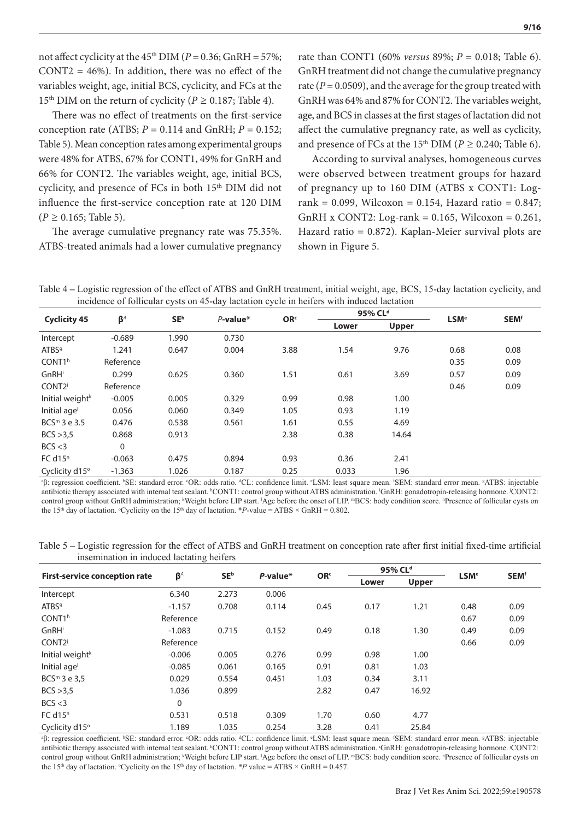not affect cyclicity at the  $45<sup>th</sup>$  DIM ( $P = 0.36$ ; GnRH = 57%;  $CONT2 = 46\%$ ). In addition, there was no effect of the variables weight, age, initial BCS, cyclicity, and FCs at the 15<sup>th</sup> DIM on the return of cyclicity ( $P \ge 0.187$ ; Table 4).

There was no effect of treatments on the first-service conception rate (ATBS;  $P = 0.114$  and GnRH;  $P = 0.152$ ; Table 5). Mean conception rates among experimental groups were 48% for ATBS, 67% for CONT1, 49% for GnRH and 66% for CONT2. The variables weight, age, initial BCS, cyclicity, and presence of FCs in both 15<sup>th</sup> DIM did not influence the first-service conception rate at 120 DIM (*P ≥* 0.165; Table 5).

The average cumulative pregnancy rate was 75.35%. ATBS-treated animals had a lower cumulative pregnancy

rate than CONT1 (60% *versus* 89%; *P* = 0.018; Table 6). GnRH treatment did not change the cumulative pregnancy rate ( $P = 0.0509$ ), and the average for the group treated with GnRH was 64% and 87% for CONT2. The variables weight, age, and BCS in classes at the first stages of lactation did not affect the cumulative pregnancy rate, as well as cyclicity, and presence of FCs at the 15<sup>th</sup> DIM ( $P \ge 0.240$ ; Table 6).

According to survival analyses, homogeneous curves were observed between treatment groups for hazard of pregnancy up to 160 DIM (ATBS x CONT1: Logrank = 0.099, Wilcoxon = 0.154, Hazard ratio = 0.847; GnRH x CONT2: Log-rank =  $0.165$ , Wilcoxon =  $0.261$ , Hazard ratio = 0.872). Kaplan-Meier survival plots are shown in Figure 5.

Table 4 **–** Logistic regression of the effect of ATBS and GnRH treatment, initial weight, age, BCS, 15-day lactation cyclicity, and incidence of follicular cysts on 45-day lactation cycle in heifers with induced lactation

|                             |           | $-70000001$            |             |                 |       | 95% CL <sup>d</sup> |                        |                        |
|-----------------------------|-----------|------------------------|-------------|-----------------|-------|---------------------|------------------------|------------------------|
| <b>Cyclicity 45</b>         | $\beta^A$ | <b>SE</b> <sup>b</sup> | $P$ -value* | OR <sup>c</sup> |       |                     | <b>LSM<sup>e</sup></b> | <b>SEM<sup>f</sup></b> |
|                             |           |                        |             |                 | Lower | <b>Upper</b>        |                        |                        |
| Intercept                   | $-0.689$  | 1.990                  | 0.730       |                 |       |                     |                        |                        |
| ATBS <sup>9</sup>           | 1.241     | 0.647                  | 0.004       | 3.88            | 1.54  | 9.76                | 0.68                   | 0.08                   |
| CONT <sub>1h</sub>          | Reference |                        |             |                 |       |                     | 0.35                   | 0.09                   |
| GnRHi                       | 0.299     | 0.625                  | 0.360       | 1.51            | 0.61  | 3.69                | 0.57                   | 0.09                   |
| CONT <sub>2j</sub>          | Reference |                        |             |                 |       |                     | 0.46                   | 0.09                   |
| Initial weight <sup>k</sup> | $-0.005$  | 0.005                  | 0.329       | 0.99            | 0.98  | 1.00                |                        |                        |
| Initial age <sup>l</sup>    | 0.056     | 0.060                  | 0.349       | 1.05            | 0.93  | 1.19                |                        |                        |
| $BCSm$ 3 e 3.5              | 0.476     | 0.538                  | 0.561       | 1.61            | 0.55  | 4.69                |                        |                        |
| BCS > 3.5                   | 0.868     | 0.913                  |             | 2.38            | 0.38  | 14.64               |                        |                        |
| BCS < 3                     | 0         |                        |             |                 |       |                     |                        |                        |
| FC d15 <sup>n</sup>         | $-0.063$  | 0.475                  | 0.894       | 0.93            | 0.36  | 2.41                |                        |                        |
| Cyclicity d15°              | $-1.363$  | 1.026                  | 0.187       | 0.25            | 0.033 | 1.96                |                        |                        |

<sup>8</sup>β: regression coefficient. <sup>b</sup>SE: standard error. °OR: odds ratio. <sup>d</sup>CL: confidence limit. °LSM: least square mean. <sup>f</sup>SEM: standard error mean. <sup>g</sup>ATBS: injectable antibiotic therapy associated with internal teat sealant. <sup>h</sup>CONT1: control group without ATBS administration. GnRH: gonadotropin-releasing hormone. CONT2: control group without GnRH administration; <sup>k</sup>Weight before LIP start. <sup>1</sup>Age before the onset of LIP. "BCS: body condition score. "Presence of follicular cysts on the 15<sup>th</sup> day of lactation. °Cyclicity on the 15<sup>th</sup> day of lactation. \**P*-value = ATBS × GnRH = 0.802.

Table 5 **–** Logistic regression for the effect of ATBS and GnRH treatment on conception rate after first initial fixed-time artificial insemination in induced lactating heifers

|                                      |             | SE <sup>b</sup> | $P$ -value* | OR <sup>c</sup> |       | 95% CL <sup>d</sup> | <b>LSM<sup>e</sup></b> | <b>SEM<sup>f</sup></b> |
|--------------------------------------|-------------|-----------------|-------------|-----------------|-------|---------------------|------------------------|------------------------|
| <b>First-service conception rate</b> | $\beta^A$   |                 |             |                 | Lower | <b>Upper</b>        |                        |                        |
| Intercept                            | 6.340       | 2.273           | 0.006       |                 |       |                     |                        |                        |
| ATBS <sup>9</sup>                    | $-1.157$    | 0.708           | 0.114       | 0.45            | 0.17  | 1.21                | 0.48                   | 0.09                   |
| CONT <sub>1h</sub>                   | Reference   |                 |             |                 |       |                     | 0.67                   | 0.09                   |
| GnRHi                                | $-1.083$    | 0.715           | 0.152       | 0.49            | 0.18  | 1.30                | 0.49                   | 0.09                   |
| CONT <sub>2j</sub>                   | Reference   |                 |             |                 |       |                     | 0.66                   | 0.09                   |
| Initial weight <sup>k</sup>          | $-0.006$    | 0.005           | 0.276       | 0.99            | 0.98  | 1.00                |                        |                        |
| Initial age <sup>l</sup>             | $-0.085$    | 0.061           | 0.165       | 0.91            | 0.81  | 1.03                |                        |                        |
| $BCSm$ 3 e 3,5                       | 0.029       | 0.554           | 0.451       | 1.03            | 0.34  | 3.11                |                        |                        |
| BCS > 3.5                            | 1.036       | 0.899           |             | 2.82            | 0.47  | 16.92               |                        |                        |
| BCS < 3                              | $\mathbf 0$ |                 |             |                 |       |                     |                        |                        |
| FC d15 <sup>n</sup>                  | 0.531       | 0.518           | 0.309       | 1.70            | 0.60  | 4.77                |                        |                        |
| Cyclicity d15°                       | 1.189       | 1.035           | 0.254       | 3.28            | 0.41  | 25.84               |                        |                        |

<sup>a</sup>β: regression coefficient. <sup>b</sup>SE: standard error. °OR: odds ratio. <sup>d</sup>CL: confidence limit. °LSM: least square mean. <sup>f</sup>SEM: standard error mean. <sup>g</sup>ATBS: injectable antibiotic therapy associated with internal teat sealant. <sup>h</sup>CONT1: control group without ATBS administration. GnRH: gonadotropin-releasing hormone. <sup>j</sup>CONT2: control group without GnRH administration; kWeight before LIP start. 'Age before the onset of LIP. "BCS: body condition score. "Presence of follicular cysts on the 15<sup>th</sup> day of lactation. °Cyclicity on the 15<sup>th</sup> day of lactation. *\*P* value = ATBS × GnRH = 0.457.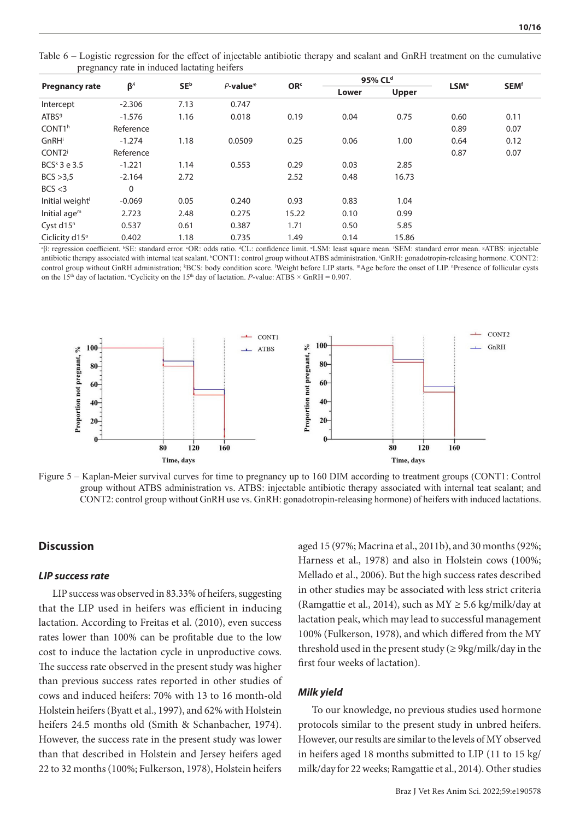Table 6 – Logistic regression for the effect of injectable antibiotic therapy and sealant and GnRH treatment on the cumulative pregnancy rate in induced lactating heifers

|                             |                                    |                          |             | OR <sup>c</sup> |       | 95% CL <sup>d</sup> |                        |                                 |
|-----------------------------|------------------------------------|--------------------------|-------------|-----------------|-------|---------------------|------------------------|---------------------------------|
| <b>Pregnancy rate</b>       | $\beta^A$                          | SE <sup>b</sup>          | $P$ -value* |                 | Lower | <b>Upper</b>        | <b>LSM<sup>e</sup></b> | <b>SEM<sup>f</sup></b>          |
| Intercept                   | $-2.306$                           | 7.13                     | 0.747       |                 |       |                     |                        |                                 |
| ATBS <sup>9</sup>           | $-1.576$                           | 1.16                     | 0.018       | 0.19            | 0.04  | 0.75                | 0.60                   | 0.11                            |
| CONT <sub>1h</sub>          | Reference                          |                          |             |                 |       |                     | 0.89                   | 0.07                            |
| GnRHi                       | $-1.274$                           | 1.18                     | 0.0509      | 0.25            | 0.06  | 1.00                | 0.64                   | 0.12                            |
| CONT <sub>2j</sub>          | Reference                          |                          |             |                 |       |                     | 0.87                   | 0.07                            |
| $BCSk$ 3 e 3.5              | $-1.221$                           | 1.14                     | 0.553       | 0.29            | 0.03  | 2.85                |                        |                                 |
| BCS > 3.5                   | $-2.164$                           | 2.72                     |             | 2.52            | 0.48  | 16.73               |                        |                                 |
| BCS < 3                     | $\mathbf 0$                        |                          |             |                 |       |                     |                        |                                 |
| Initial weight <sup>1</sup> | $-0.069$                           | 0.05                     | 0.240       | 0.93            | 0.83  | 1.04                |                        |                                 |
| Initial age $m$             | 2.723                              | 2.48                     | 0.275       | 15.22           | 0.10  | 0.99                |                        |                                 |
| Cyst d15 <sup>n</sup>       | 0.537                              | 0.61                     | 0.387       | 1.71            | 0.50  | 5.85                |                        |                                 |
| Ciclicity d15°              | 0.402                              | 1.18                     | 0.735       | 1.49            | 0.14  | 15.86               |                        |                                 |
|                             | <b>Line Store</b><br>$\sim$ $\sim$ | <b>Contract Contract</b> |             | $\sim$ $\sim$   | .     | Contact of the      | . .                    | comment and the contract of the |

<sup>8</sup>β: regression coefficient. <sup>b</sup>SE: standard error. °OR: odds ratio. <sup>d</sup>CL: confidence limit. °LSM: least square mean. <sup>f</sup>SEM: standard error mean. <sup>g</sup>ATBS: injectable antibiotic therapy associated with internal teat sealant. "CONT1: control group without ATBS administration. GnRH: gonadotropin-releasing hormone. CONT2: control group without GnRH administration; KBCS: body condition score. Weight before LIP starts. "Age before the onset of LIP. "Presence of follicular cysts on the 15<sup>th</sup> day of lactation. <sup>o</sup>Cyclicity on the 15<sup>th</sup> day of lactation. *P*-value: ATBS × GnRH = 0.907.



Figure 5 – Kaplan-Meier survival curves for time to pregnancy up to 160 DIM according to treatment groups (CONT1: Control group without ATBS administration vs. ATBS: injectable antibiotic therapy associated with internal teat sealant; and CONT2: control group without GnRH use vs. GnRH: gonadotropin-releasing hormone) of heifers with induced lactations.

## **Discussion**

#### *LIP success rate*

LIP success was observed in 83.33% of heifers, suggesting that the LIP used in heifers was efficient in inducing lactation. According to Freitas et al. (2010), even success rates lower than 100% can be profitable due to the low cost to induce the lactation cycle in unproductive cows. The success rate observed in the present study was higher than previous success rates reported in other studies of cows and induced heifers: 70% with 13 to 16 month-old Holstein heifers (Byatt et al., 1997), and 62% with Holstein heifers 24.5 months old (Smith & Schanbacher, 1974). However, the success rate in the present study was lower than that described in Holstein and Jersey heifers aged 22 to 32 months (100%; Fulkerson, 1978), Holstein heifers

aged 15 (97%; Macrina et al., 2011b), and 30 months (92%; Harness et al., 1978) and also in Holstein cows (100%; Mellado et al., 2006). But the high success rates described in other studies may be associated with less strict criteria (Ramgattie et al., 2014), such as  $MY \ge 5.6$  kg/milk/day at lactation peak, which may lead to successful management 100% (Fulkerson, 1978), and which differed from the MY threshold used in the present study ( $\geq$  9kg/milk/day in the first four weeks of lactation).

## *Milk yield*

To our knowledge, no previous studies used hormone protocols similar to the present study in unbred heifers. However, our results are similar to the levels of MY observed in heifers aged 18 months submitted to LIP (11 to 15 kg/ milk/day for 22 weeks; Ramgattie et al., 2014). Other studies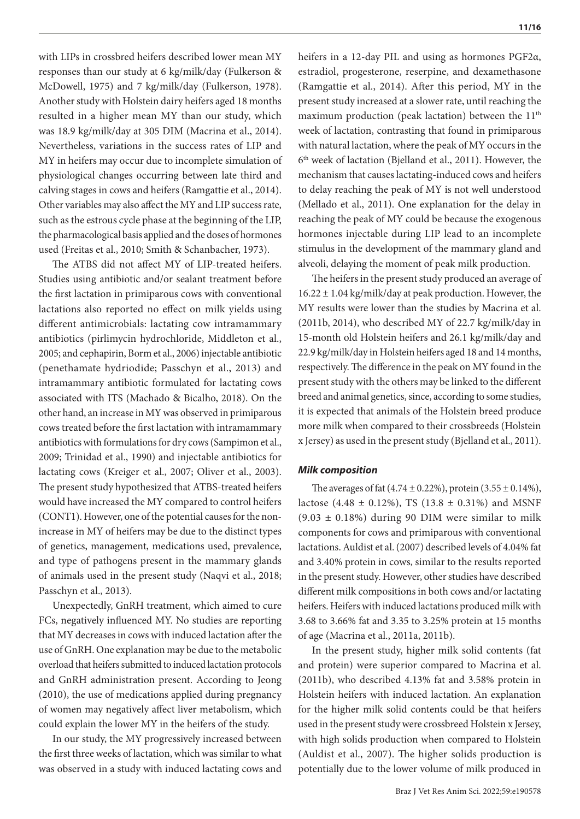with LIPs in crossbred heifers described lower mean MY responses than our study at 6 kg/milk/day (Fulkerson & McDowell, 1975) and 7 kg/milk/day (Fulkerson, 1978). Another study with Holstein dairy heifers aged 18 months resulted in a higher mean MY than our study, which was 18.9 kg/milk/day at 305 DIM (Macrina et al., 2014). Nevertheless, variations in the success rates of LIP and MY in heifers may occur due to incomplete simulation of physiological changes occurring between late third and calving stages in cows and heifers (Ramgattie et al., 2014). Other variables may also affect the MY and LIP success rate, such as the estrous cycle phase at the beginning of the LIP, the pharmacological basis applied and the doses of hormones used (Freitas et al., 2010; Smith & Schanbacher, 1973).

The ATBS did not affect MY of LIP-treated heifers. Studies using antibiotic and/or sealant treatment before the first lactation in primiparous cows with conventional lactations also reported no effect on milk yields using different antimicrobials: lactating cow intramammary antibiotics (pirlimycin hydrochloride, Middleton et al., 2005; and cephapirin, Borm et al., 2006) injectable antibiotic (penethamate hydriodide; Passchyn et al., 2013) and intramammary antibiotic formulated for lactating cows associated with ITS (Machado & Bicalho, 2018). On the other hand, an increase in MY was observed in primiparous cows treated before the first lactation with intramammary antibiotics with formulations for dry cows (Sampimon et al., 2009; Trinidad et al., 1990) and injectable antibiotics for lactating cows (Kreiger et al., 2007; Oliver et al., 2003). The present study hypothesized that ATBS-treated heifers would have increased the MY compared to control heifers (CONT1). However, one of the potential causes for the nonincrease in MY of heifers may be due to the distinct types of genetics, management, medications used, prevalence, and type of pathogens present in the mammary glands of animals used in the present study (Naqvi et al., 2018; Passchyn et al., 2013).

Unexpectedly, GnRH treatment, which aimed to cure FCs, negatively influenced MY. No studies are reporting that MY decreases in cows with induced lactation after the use of GnRH. One explanation may be due to the metabolic overload that heifers submitted to induced lactation protocols and GnRH administration present. According to Jeong (2010), the use of medications applied during pregnancy of women may negatively affect liver metabolism, which could explain the lower MY in the heifers of the study.

In our study, the MY progressively increased between the first three weeks of lactation, which was similar to what was observed in a study with induced lactating cows and heifers in a 12-day PIL and using as hormones PGF2α, estradiol, progesterone, reserpine, and dexamethasone (Ramgattie et al., 2014). After this period, MY in the present study increased at a slower rate, until reaching the maximum production (peak lactation) between the  $11<sup>th</sup>$ week of lactation, contrasting that found in primiparous with natural lactation, where the peak of MY occurs in the 6th week of lactation (Bjelland et al., 2011). However, the mechanism that causes lactating-induced cows and heifers to delay reaching the peak of MY is not well understood (Mellado et al., 2011). One explanation for the delay in reaching the peak of MY could be because the exogenous hormones injectable during LIP lead to an incomplete stimulus in the development of the mammary gland and alveoli, delaying the moment of peak milk production.

The heifers in the present study produced an average of  $16.22 \pm 1.04$  kg/milk/day at peak production. However, the MY results were lower than the studies by Macrina et al. (2011b, 2014), who described MY of 22.7 kg/milk/day in 15-month old Holstein heifers and 26.1 kg/milk/day and 22.9 kg/milk/day in Holstein heifers aged 18 and 14 months, respectively. The difference in the peak on MY found in the present study with the others may be linked to the different breed and animal genetics, since, according to some studies, it is expected that animals of the Holstein breed produce more milk when compared to their crossbreeds (Holstein x Jersey) as used in the present study (Bjelland et al., 2011).

#### *Milk composition*

The averages of fat  $(4.74 \pm 0.22\%)$ , protein  $(3.55 \pm 0.14\%)$ , lactose (4.48  $\pm$  0.12%), TS (13.8  $\pm$  0.31%) and MSNF  $(9.03 \pm 0.18\%)$  during 90 DIM were similar to milk components for cows and primiparous with conventional lactations. Auldist et al. (2007) described levels of 4.04% fat and 3.40% protein in cows, similar to the results reported in the present study. However, other studies have described different milk compositions in both cows and/or lactating heifers. Heifers with induced lactations produced milk with 3.68 to 3.66% fat and 3.35 to 3.25% protein at 15 months of age (Macrina et al., 2011a, 2011b).

In the present study, higher milk solid contents (fat and protein) were superior compared to Macrina et al. (2011b), who described 4.13% fat and 3.58% protein in Holstein heifers with induced lactation. An explanation for the higher milk solid contents could be that heifers used in the present study were crossbreed Holstein x Jersey, with high solids production when compared to Holstein (Auldist et al., 2007). The higher solids production is potentially due to the lower volume of milk produced in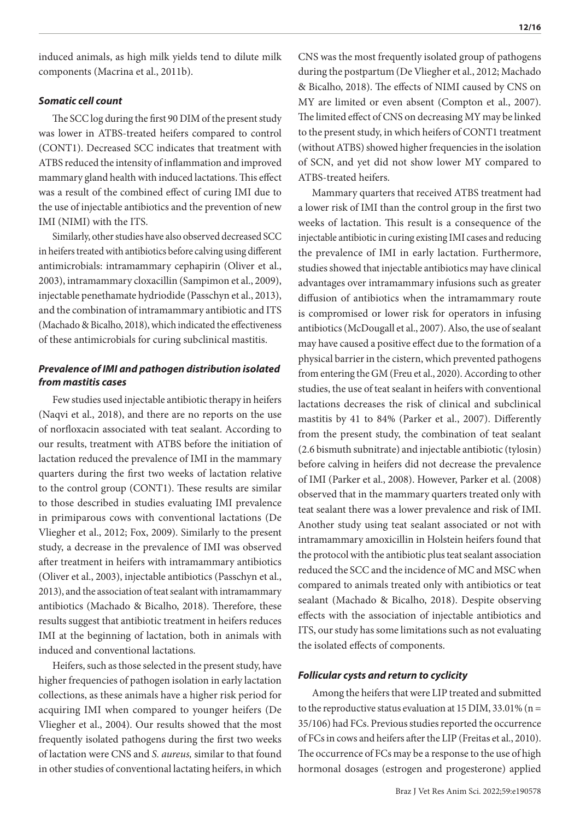induced animals, as high milk yields tend to dilute milk components (Macrina et al., 2011b).

## *Somatic cell count*

The SCC log during the first 90 DIM of the present study was lower in ATBS-treated heifers compared to control (CONT1). Decreased SCC indicates that treatment with ATBS reduced the intensity of inflammation and improved mammary gland health with induced lactations. This effect was a result of the combined effect of curing IMI due to the use of injectable antibiotics and the prevention of new IMI (NIMI) with the ITS.

Similarly, other studies have also observed decreased SCC in heifers treated with antibiotics before calving using different antimicrobials: intramammary cephapirin (Oliver et al., 2003), intramammary cloxacillin (Sampimon et al., 2009), injectable penethamate hydriodide (Passchyn et al., 2013), and the combination of intramammary antibiotic and ITS (Machado & Bicalho, 2018), which indicated the effectiveness of these antimicrobials for curing subclinical mastitis.

## *Prevalence of IMI and pathogen distribution isolated from mastitis cases*

Few studies used injectable antibiotic therapy in heifers (Naqvi et al., 2018), and there are no reports on the use of norfloxacin associated with teat sealant. According to our results, treatment with ATBS before the initiation of lactation reduced the prevalence of IMI in the mammary quarters during the first two weeks of lactation relative to the control group (CONT1). These results are similar to those described in studies evaluating IMI prevalence in primiparous cows with conventional lactations (De Vliegher et al., 2012; Fox, 2009). Similarly to the present study, a decrease in the prevalence of IMI was observed after treatment in heifers with intramammary antibiotics (Oliver et al., 2003), injectable antibiotics (Passchyn et al., 2013), and the association of teat sealant with intramammary antibiotics (Machado & Bicalho, 2018). Therefore, these results suggest that antibiotic treatment in heifers reduces IMI at the beginning of lactation, both in animals with induced and conventional lactations.

Heifers, such as those selected in the present study, have higher frequencies of pathogen isolation in early lactation collections, as these animals have a higher risk period for acquiring IMI when compared to younger heifers (De Vliegher et al., 2004). Our results showed that the most frequently isolated pathogens during the first two weeks of lactation were CNS and *S. aureus,* similar to that found in other studies of conventional lactating heifers, in which

CNS was the most frequently isolated group of pathogens during the postpartum (De Vliegher et al., 2012; Machado & Bicalho, 2018). The effects of NIMI caused by CNS on MY are limited or even absent (Compton et al., 2007). The limited effect of CNS on decreasing MY may be linked to the present study, in which heifers of CONT1 treatment (without ATBS) showed higher frequencies in the isolation of SCN, and yet did not show lower MY compared to ATBS-treated heifers.

Mammary quarters that received ATBS treatment had a lower risk of IMI than the control group in the first two weeks of lactation. This result is a consequence of the injectable antibiotic in curing existing IMI cases and reducing the prevalence of IMI in early lactation. Furthermore, studies showed that injectable antibiotics may have clinical advantages over intramammary infusions such as greater diffusion of antibiotics when the intramammary route is compromised or lower risk for operators in infusing antibiotics (McDougall et al., 2007). Also, the use of sealant may have caused a positive effect due to the formation of a physical barrier in the cistern, which prevented pathogens from entering the GM (Freu et al., 2020). According to other studies, the use of teat sealant in heifers with conventional lactations decreases the risk of clinical and subclinical mastitis by 41 to 84% (Parker et al., 2007). Differently from the present study, the combination of teat sealant (2.6 bismuth subnitrate) and injectable antibiotic (tylosin) before calving in heifers did not decrease the prevalence of IMI (Parker et al., 2008). However, Parker et al. (2008) observed that in the mammary quarters treated only with teat sealant there was a lower prevalence and risk of IMI. Another study using teat sealant associated or not with intramammary amoxicillin in Holstein heifers found that the protocol with the antibiotic plus teat sealant association reduced the SCC and the incidence of MC and MSC when compared to animals treated only with antibiotics or teat sealant (Machado & Bicalho, 2018). Despite observing effects with the association of injectable antibiotics and ITS, our study has some limitations such as not evaluating the isolated effects of components.

## *Follicular cysts and return to cyclicity*

Among the heifers that were LIP treated and submitted to the reproductive status evaluation at 15 DIM, 33.01% ( $n =$ 35/106) had FCs. Previous studies reported the occurrence of FCs in cows and heifers after the LIP (Freitas et al., 2010). The occurrence of FCs may be a response to the use of high hormonal dosages (estrogen and progesterone) applied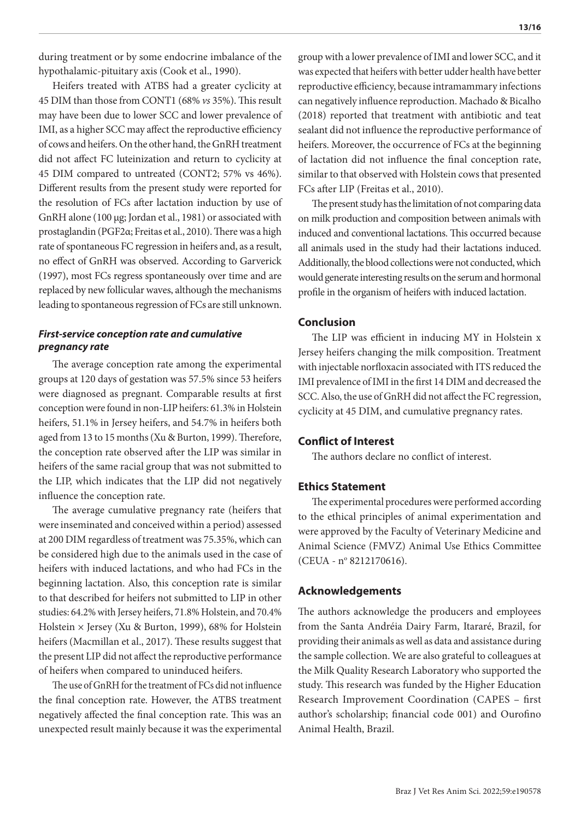during treatment or by some endocrine imbalance of the hypothalamic-pituitary axis (Cook et al., 1990).

Heifers treated with ATBS had a greater cyclicity at 45 DIM than those from CONT1 (68% *vs* 35%). This result may have been due to lower SCC and lower prevalence of IMI, as a higher SCC may affect the reproductive efficiency of cows and heifers. On the other hand, the GnRH treatment did not affect FC luteinization and return to cyclicity at 45 DIM compared to untreated (CONT2; 57% vs 46%). Different results from the present study were reported for the resolution of FCs after lactation induction by use of GnRH alone (100 µg; Jordan et al., 1981) or associated with prostaglandin (PGF2α; Freitas et al., 2010). There was a high rate of spontaneous FC regression in heifers and, as a result, no effect of GnRH was observed. According to Garverick (1997), most FCs regress spontaneously over time and are replaced by new follicular waves, although the mechanisms leading to spontaneous regression of FCs are still unknown.

## *First-service conception rate and cumulative pregnancy rate*

The average conception rate among the experimental groups at 120 days of gestation was 57.5% since 53 heifers were diagnosed as pregnant. Comparable results at first conception were found in non-LIP heifers: 61.3% in Holstein heifers, 51.1% in Jersey heifers, and 54.7% in heifers both aged from 13 to 15 months (Xu & Burton, 1999). Therefore, the conception rate observed after the LIP was similar in heifers of the same racial group that was not submitted to the LIP, which indicates that the LIP did not negatively influence the conception rate.

The average cumulative pregnancy rate (heifers that were inseminated and conceived within a period) assessed at 200 DIM regardless of treatment was 75.35%, which can be considered high due to the animals used in the case of heifers with induced lactations, and who had FCs in the beginning lactation. Also, this conception rate is similar to that described for heifers not submitted to LIP in other studies: 64.2% with Jersey heifers, 71.8% Holstein, and 70.4% Holstein × Jersey (Xu & Burton, 1999), 68% for Holstein heifers (Macmillan et al., 2017). These results suggest that the present LIP did not affect the reproductive performance of heifers when compared to uninduced heifers.

The use of GnRH for the treatment of FCs did not influence the final conception rate. However, the ATBS treatment negatively affected the final conception rate. This was an unexpected result mainly because it was the experimental group with a lower prevalence of IMI and lower SCC, and it was expected that heifers with better udder health have better reproductive efficiency, because intramammary infections can negatively influence reproduction. Machado & Bicalho (2018) reported that treatment with antibiotic and teat sealant did not influence the reproductive performance of heifers. Moreover, the occurrence of FCs at the beginning of lactation did not influence the final conception rate, similar to that observed with Holstein cows that presented FCs after LIP (Freitas et al., 2010).

The present study has the limitation of not comparing data on milk production and composition between animals with induced and conventional lactations. This occurred because all animals used in the study had their lactations induced. Additionally, the blood collections were not conducted, which would generate interesting results on the serum and hormonal profile in the organism of heifers with induced lactation.

## **Conclusion**

The LIP was efficient in inducing MY in Holstein x Jersey heifers changing the milk composition. Treatment with injectable norfloxacin associated with ITS reduced the IMI prevalence of IMI in the first 14 DIM and decreased the SCC. Also, the use of GnRH did not affect the FC regression, cyclicity at 45 DIM, and cumulative pregnancy rates.

## **Conflict of Interest**

The authors declare no conflict of interest.

## **Ethics Statement**

The experimental procedures were performed according to the ethical principles of animal experimentation and were approved by the Faculty of Veterinary Medicine and Animal Science (FMVZ) Animal Use Ethics Committee (CEUA - nº 8212170616).

## **Acknowledgements**

The authors acknowledge the producers and employees from the Santa Andréia Dairy Farm, Itararé, Brazil, for providing their animals as well as data and assistance during the sample collection. We are also grateful to colleagues at the Milk Quality Research Laboratory who supported the study. This research was funded by the Higher Education Research Improvement Coordination (CAPES – first author's scholarship; financial code 001) and Ourofino Animal Health, Brazil.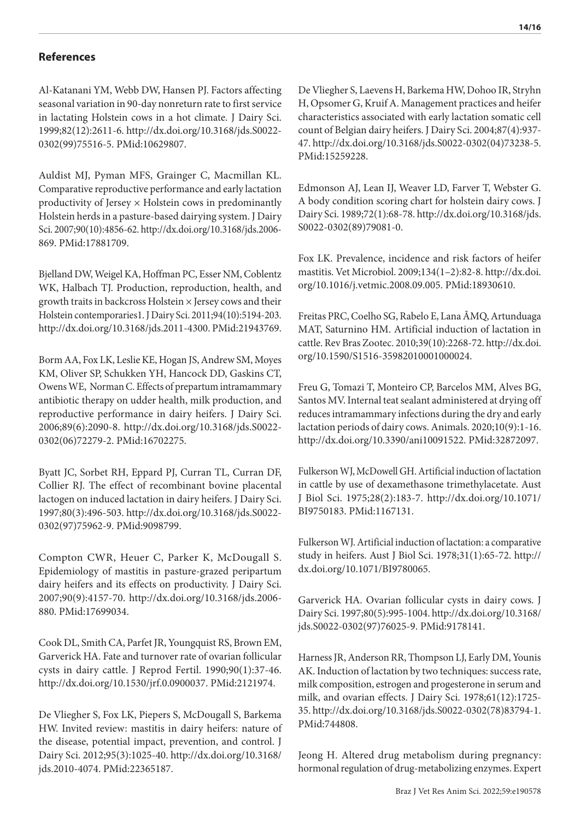## **References**

Al-Katanani YM, Webb DW, Hansen PJ. Factors affecting seasonal variation in 90-day nonreturn rate to first service in lactating Holstein cows in a hot climate. J Dairy Sci. 1999;82(12):2611-6. [http://dx.doi.org/10.3168/jds.S0022-](https://doi.org/10.3168/jds.S0022-0302(99)75516-5) [0302\(99\)75516-5.](https://doi.org/10.3168/jds.S0022-0302(99)75516-5) [PMid:10629807.](https://www.ncbi.nlm.nih.gov/entrez/query.fcgi?cmd=Retrieve&db=PubMed&list_uids=10629807&dopt=Abstract)

Auldist MJ, Pyman MFS, Grainger C, Macmillan KL. Comparative reproductive performance and early lactation productivity of Jersey  $\times$  Holstein cows in predominantly Holstein herds in a pasture-based dairying system. J Dairy Sci. 2007;90(10):4856-62. [http://dx.doi.org/10.3168/jds.2006-](https://doi.org/10.3168/jds.2006-869) [869.](https://doi.org/10.3168/jds.2006-869) [PMid:17881709.](https://www.ncbi.nlm.nih.gov/entrez/query.fcgi?cmd=Retrieve&db=PubMed&list_uids=17881709&dopt=Abstract)

Bjelland DW, Weigel KA, Hoffman PC, Esser NM, Coblentz WK, Halbach TJ. Production, reproduction, health, and growth traits in backcross Holstein × Jersey cows and their Holstein contemporaries1. J Dairy Sci. 2011;94(10):5194-203. [http://dx.doi.org/10.3168/jds.2011-4300](https://doi.org/10.3168/jds.2011-4300). [PMid:21943769.](https://www.ncbi.nlm.nih.gov/entrez/query.fcgi?cmd=Retrieve&db=PubMed&list_uids=21943769&dopt=Abstract)

Borm AA, Fox LK, Leslie KE, Hogan JS, Andrew SM, Moyes KM, Oliver SP, Schukken YH, Hancock DD, Gaskins CT, Owens WE, Norman C. Effects of prepartum intramammary antibiotic therapy on udder health, milk production, and reproductive performance in dairy heifers. J Dairy Sci. 2006;89(6):2090-8. [http://dx.doi.org/10.3168/jds.S0022-](https://doi.org/10.3168/jds.S0022-0302(06)72279-2) [0302\(06\)72279-2.](https://doi.org/10.3168/jds.S0022-0302(06)72279-2) [PMid:16702275.](https://www.ncbi.nlm.nih.gov/entrez/query.fcgi?cmd=Retrieve&db=PubMed&list_uids=16702275&dopt=Abstract)

Byatt JC, Sorbet RH, Eppard PJ, Curran TL, Curran DF, Collier RJ. The effect of recombinant bovine placental lactogen on induced lactation in dairy heifers. J Dairy Sci. 1997;80(3):496-503. [http://dx.doi.org/10.3168/jds.S0022-](https://doi.org/10.3168/jds.S0022-0302(97)75962-9) [0302\(97\)75962-9.](https://doi.org/10.3168/jds.S0022-0302(97)75962-9) [PMid:9098799.](https://www.ncbi.nlm.nih.gov/entrez/query.fcgi?cmd=Retrieve&db=PubMed&list_uids=9098799&dopt=Abstract)

Compton CWR, Heuer C, Parker K, McDougall S. Epidemiology of mastitis in pasture-grazed peripartum dairy heifers and its effects on productivity. J Dairy Sci. 2007;90(9):4157-70. [http://dx.doi.org/10.3168/jds.2006-](https://doi.org/10.3168/jds.2006-880) [880.](https://doi.org/10.3168/jds.2006-880) [PMid:17699034.](https://www.ncbi.nlm.nih.gov/entrez/query.fcgi?cmd=Retrieve&db=PubMed&list_uids=17699034&dopt=Abstract)

Cook DL, Smith CA, Parfet JR, Youngquist RS, Brown EM, Garverick HA. Fate and turnover rate of ovarian follicular cysts in dairy cattle. J Reprod Fertil. 1990;90(1):37-46. [http://dx.doi.org/10.1530/jrf.0.0900037](https://doi.org/10.1530/jrf.0.0900037). [PMid:2121974.](https://www.ncbi.nlm.nih.gov/entrez/query.fcgi?cmd=Retrieve&db=PubMed&list_uids=2121974&dopt=Abstract)

De Vliegher S, Fox LK, Piepers S, McDougall S, Barkema HW. Invited review: mastitis in dairy heifers: nature of the disease, potential impact, prevention, and control. J Dairy Sci. 2012;95(3):1025-40. [http://dx.doi.org/10.3168/](https://doi.org/10.3168/jds.2010-4074) [jds.2010-4074](https://doi.org/10.3168/jds.2010-4074). [PMid:22365187.](https://www.ncbi.nlm.nih.gov/entrez/query.fcgi?cmd=Retrieve&db=PubMed&list_uids=22365187&dopt=Abstract)

De Vliegher S, Laevens H, Barkema HW, Dohoo IR, Stryhn H, Opsomer G, Kruif A. Management practices and heifer characteristics associated with early lactation somatic cell count of Belgian dairy heifers. J Dairy Sci. 2004;87(4):937- 47. [http://dx.doi.org/10.3168/jds.S0022-0302\(04\)73238-5](https://doi.org/10.3168/jds.S0022-0302(04)73238-5). [PMid:15259228.](https://www.ncbi.nlm.nih.gov/entrez/query.fcgi?cmd=Retrieve&db=PubMed&list_uids=15259228&dopt=Abstract)

Edmonson AJ, Lean IJ, Weaver LD, Farver T, Webster G. A body condition scoring chart for holstein dairy cows. J Dairy Sci. 1989;72(1):68-78. [http://dx.doi.org/10.3168/jds.](https://doi.org/10.3168/jds.S0022-0302(89)79081-0) [S0022-0302\(89\)79081-0](https://doi.org/10.3168/jds.S0022-0302(89)79081-0).

Fox LK. Prevalence, incidence and risk factors of heifer mastitis. Vet Microbiol. 2009;134(1–2):82-8. [http://dx.doi.](https://doi.org/10.1016/j.vetmic.2008.09.005) [org/10.1016/j.vetmic.2008.09.005](https://doi.org/10.1016/j.vetmic.2008.09.005). [PMid:18930610.](https://www.ncbi.nlm.nih.gov/entrez/query.fcgi?cmd=Retrieve&db=PubMed&list_uids=18930610&dopt=Abstract)

Freitas PRC, Coelho SG, Rabelo E, Lana ÂMQ, Artunduaga MAT, Saturnino HM. Artificial induction of lactation in cattle. Rev Bras Zootec. 2010;39(10):2268-72. [http://dx.doi.](https://doi.org/10.1590/S1516-35982010001000024) [org/10.1590/S1516-35982010001000024](https://doi.org/10.1590/S1516-35982010001000024).

Freu G, Tomazi T, Monteiro CP, Barcelos MM, Alves BG, Santos MV. Internal teat sealant administered at drying off reduces intramammary infections during the dry and early lactation periods of dairy cows. Animals. 2020;10(9):1-16. [http://dx.doi.org/10.3390/ani10091522](https://doi.org/10.3390/ani10091522). [PMid:32872097.](https://www.ncbi.nlm.nih.gov/entrez/query.fcgi?cmd=Retrieve&db=PubMed&list_uids=32872097&dopt=Abstract)

Fulkerson WJ, McDowell GH. Artificial induction of lactation in cattle by use of dexamethasone trimethylacetate. Aust J Biol Sci. 1975;28(2):183-7. [http://dx.doi.org/10.1071/](https://doi.org/10.1071/BI9750183) [BI9750183](https://doi.org/10.1071/BI9750183). [PMid:1167131.](https://www.ncbi.nlm.nih.gov/entrez/query.fcgi?cmd=Retrieve&db=PubMed&list_uids=1167131&dopt=Abstract)

Fulkerson WJ. Artificial induction of lactation: a comparative study in heifers. Aust J Biol Sci. 1978;31(1):65-72. [http://](https://doi.org/10.1071/BI9780065) [dx.doi.org/10.1071/BI9780065.](https://doi.org/10.1071/BI9780065)

Garverick HA. Ovarian follicular cysts in dairy cows. J Dairy Sci. 1997;80(5):995-1004. [http://dx.doi.org/10.3168/](https://doi.org/10.3168/jds.S0022-0302(97)76025-9) [jds.S0022-0302\(97\)76025-9](https://doi.org/10.3168/jds.S0022-0302(97)76025-9). [PMid:9178141.](https://www.ncbi.nlm.nih.gov/entrez/query.fcgi?cmd=Retrieve&db=PubMed&list_uids=9178141&dopt=Abstract)

Harness JR, Anderson RR, Thompson LJ, Early DM, Younis AK. Induction of lactation by two techniques: success rate, milk composition, estrogen and progesterone in serum and milk, and ovarian effects. J Dairy Sci. 1978;61(12):1725- 35. [http://dx.doi.org/10.3168/jds.S0022-0302\(78\)83794-1](https://doi.org/10.3168/jds.S0022-0302(78)83794-1). [PMid:744808.](https://www.ncbi.nlm.nih.gov/entrez/query.fcgi?cmd=Retrieve&db=PubMed&list_uids=744808&dopt=Abstract)

Jeong H. Altered drug metabolism during pregnancy: hormonal regulation of drug-metabolizing enzymes. Expert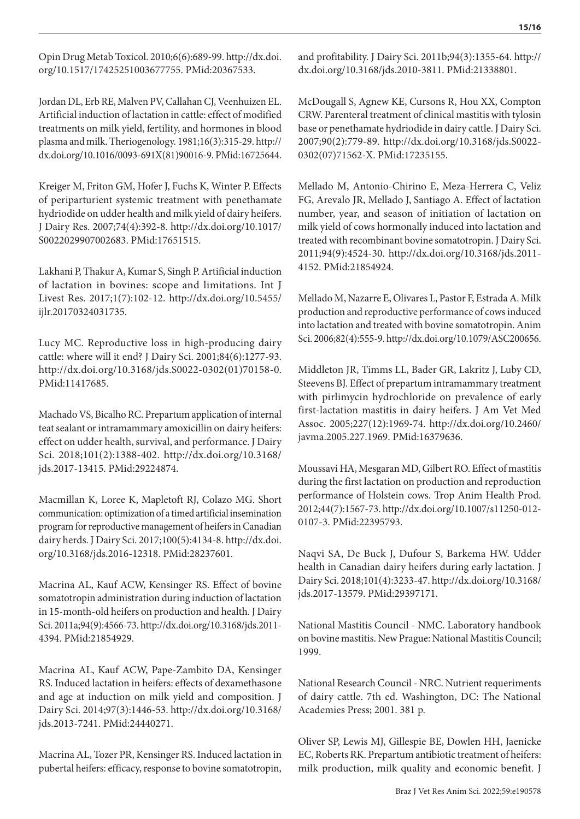Opin Drug Metab Toxicol. 2010;6(6):689-99. [http://dx.doi.](https://doi.org/10.1517/17425251003677755) [org/10.1517/17425251003677755.](https://doi.org/10.1517/17425251003677755) [PMid:20367533.](https://www.ncbi.nlm.nih.gov/entrez/query.fcgi?cmd=Retrieve&db=PubMed&list_uids=20367533&dopt=Abstract)

Jordan DL, Erb RE, Malven PV, Callahan CJ, Veenhuizen EL. Artificial induction of lactation in cattle: effect of modified treatments on milk yield, fertility, and hormones in blood plasma and milk. Theriogenology. 1981;16(3):315-29. [http://](https://doi.org/10.1016/0093-691X(81)90016-9) [dx.doi.org/10.1016/0093-691X\(81\)90016-9](https://doi.org/10.1016/0093-691X(81)90016-9)[. PMid:16725644.](https://www.ncbi.nlm.nih.gov/entrez/query.fcgi?cmd=Retrieve&db=PubMed&list_uids=16725644&dopt=Abstract)

Kreiger M, Friton GM, Hofer J, Fuchs K, Winter P. Effects of periparturient systemic treatment with penethamate hydriodide on udder health and milk yield of dairy heifers. J Dairy Res. 2007;74(4):392-8. [http://dx.doi.org/10.1017/](https://doi.org/10.1017/S0022029907002683) [S0022029907002683](https://doi.org/10.1017/S0022029907002683). [PMid:17651515.](https://www.ncbi.nlm.nih.gov/entrez/query.fcgi?cmd=Retrieve&db=PubMed&list_uids=17651515&dopt=Abstract)

Lakhani P, Thakur A, Kumar S, Singh P. Artificial induction of lactation in bovines: scope and limitations. Int J Livest Res. 2017;1(7):102-12. [http://dx.doi.org/10.5455/](https://doi.org/10.5455/ijlr.20170324031735) [ijlr.20170324031735.](https://doi.org/10.5455/ijlr.20170324031735)

Lucy MC. Reproductive loss in high-producing dairy cattle: where will it end? J Dairy Sci. 2001;84(6):1277-93. [http://dx.doi.org/10.3168/jds.S0022-0302\(01\)70158-0.](https://doi.org/10.3168/jds.S0022-0302(01)70158-0) [PMid:11417685.](https://www.ncbi.nlm.nih.gov/entrez/query.fcgi?cmd=Retrieve&db=PubMed&list_uids=11417685&dopt=Abstract)

Machado VS, Bicalho RC. Prepartum application of internal teat sealant or intramammary amoxicillin on dairy heifers: effect on udder health, survival, and performance. J Dairy Sci. 2018;101(2):1388-402. [http://dx.doi.org/10.3168/](https://doi.org/10.3168/jds.2017-13415) [jds.2017-13415](https://doi.org/10.3168/jds.2017-13415). [PMid:29224874.](https://www.ncbi.nlm.nih.gov/entrez/query.fcgi?cmd=Retrieve&db=PubMed&list_uids=29224874&dopt=Abstract)

Macmillan K, Loree K, Mapletoft RJ, Colazo MG. Short communication: optimization of a timed artificial insemination program for reproductive management of heifers in Canadian dairy herds. J Dairy Sci. 2017;100(5):4134-8. [http://dx.doi.](https://doi.org/10.3168/jds.2016-12318) [org/10.3168/jds.2016-12318](https://doi.org/10.3168/jds.2016-12318). [PMid:28237601.](https://www.ncbi.nlm.nih.gov/entrez/query.fcgi?cmd=Retrieve&db=PubMed&list_uids=28237601&dopt=Abstract)

Macrina AL, Kauf ACW, Kensinger RS. Effect of bovine somatotropin administration during induction of lactation in 15-month-old heifers on production and health. J Dairy Sci. 2011a;94(9):4566-73. [http://dx.doi.org/10.3168/jds.2011-](https://doi.org/10.3168/jds.2011-4394) [4394](https://doi.org/10.3168/jds.2011-4394)[. PMid:21854929.](https://www.ncbi.nlm.nih.gov/entrez/query.fcgi?cmd=Retrieve&db=PubMed&list_uids=21854929&dopt=Abstract)

Macrina AL, Kauf ACW, Pape-Zambito DA, Kensinger RS. Induced lactation in heifers: effects of dexamethasone and age at induction on milk yield and composition. J Dairy Sci. 2014;97(3):1446-53. [http://dx.doi.org/10.3168/](https://doi.org/10.3168/jds.2013-7241) [jds.2013-7241](https://doi.org/10.3168/jds.2013-7241). [PMid:24440271.](https://www.ncbi.nlm.nih.gov/entrez/query.fcgi?cmd=Retrieve&db=PubMed&list_uids=24440271&dopt=Abstract)

Macrina AL, Tozer PR, Kensinger RS. Induced lactation in pubertal heifers: efficacy, response to bovine somatotropin, and profitability. J Dairy Sci. 2011b;94(3):1355-64. [http://](https://doi.org/10.3168/jds.2010-3811) [dx.doi.org/10.3168/jds.2010-3811](https://doi.org/10.3168/jds.2010-3811)[. PMid:21338801.](https://www.ncbi.nlm.nih.gov/entrez/query.fcgi?cmd=Retrieve&db=PubMed&list_uids=21338801&dopt=Abstract)

McDougall S, Agnew KE, Cursons R, Hou XX, Compton CRW. Parenteral treatment of clinical mastitis with tylosin base or penethamate hydriodide in dairy cattle. J Dairy Sci. 2007;90(2):779-89. [http://dx.doi.org/10.3168/jds.S0022-](https://doi.org/10.3168/jds.S0022-0302(07)71562-X) [0302\(07\)71562-X](https://doi.org/10.3168/jds.S0022-0302(07)71562-X)[. PMid:17235155.](https://www.ncbi.nlm.nih.gov/entrez/query.fcgi?cmd=Retrieve&db=PubMed&list_uids=17235155&dopt=Abstract)

Mellado M, Antonio-Chirino E, Meza-Herrera C, Veliz FG, Arevalo JR, Mellado J, Santiago A. Effect of lactation number, year, and season of initiation of lactation on milk yield of cows hormonally induced into lactation and treated with recombinant bovine somatotropin. J Dairy Sci. 2011;94(9):4524-30. [http://dx.doi.org/10.3168/jds.2011-](https://doi.org/10.3168/jds.2011-4152) [4152](https://doi.org/10.3168/jds.2011-4152). [PMid:21854924.](https://www.ncbi.nlm.nih.gov/entrez/query.fcgi?cmd=Retrieve&db=PubMed&list_uids=21854924&dopt=Abstract)

Mellado M, Nazarre E, Olivares L, Pastor F, Estrada A. Milk production and reproductive performance of cows induced into lactation and treated with bovine somatotropin. Anim Sci. 2006;82(4):555-9. [http://dx.doi.org/10.1079/ASC200656](https://doi.org/10.1079/ASC200656).

Middleton JR, Timms LL, Bader GR, Lakritz J, Luby CD, Steevens BJ. Effect of prepartum intramammary treatment with pirlimycin hydrochloride on prevalence of early first-lactation mastitis in dairy heifers. J Am Vet Med Assoc. 2005;227(12):1969-74. [http://dx.doi.org/10.2460/](https://doi.org/10.2460/javma.2005.227.1969) [javma.2005.227.1969](https://doi.org/10.2460/javma.2005.227.1969). [PMid:16379636.](https://www.ncbi.nlm.nih.gov/entrez/query.fcgi?cmd=Retrieve&db=PubMed&list_uids=16379636&dopt=Abstract)

Moussavi HA, Mesgaran MD, Gilbert RO. Effect of mastitis during the first lactation on production and reproduction performance of Holstein cows. Trop Anim Health Prod. 2012;44(7):1567-73. [http://dx.doi.org/10.1007/s11250-012-](https://doi.org/10.1007/s11250-012-0107-3) [0107-3](https://doi.org/10.1007/s11250-012-0107-3). [PMid:22395793.](https://www.ncbi.nlm.nih.gov/entrez/query.fcgi?cmd=Retrieve&db=PubMed&list_uids=22395793&dopt=Abstract)

Naqvi SA, De Buck J, Dufour S, Barkema HW. Udder health in Canadian dairy heifers during early lactation. J Dairy Sci. 2018;101(4):3233-47. [http://dx.doi.org/10.3168/](https://doi.org/10.3168/jds.2017-13579) [jds.2017-13579](https://doi.org/10.3168/jds.2017-13579)[. PMid:29397171.](https://www.ncbi.nlm.nih.gov/entrez/query.fcgi?cmd=Retrieve&db=PubMed&list_uids=29397171&dopt=Abstract)

National Mastitis Council - NMC. Laboratory handbook on bovine mastitis. New Prague: National Mastitis Council; 1999.

National Research Council - NRC. Nutrient requeriments of dairy cattle. 7th ed. Washington, DC: The National Academies Press; 2001. 381 p.

Oliver SP, Lewis MJ, Gillespie BE, Dowlen HH, Jaenicke EC, Roberts RK. Prepartum antibiotic treatment of heifers: milk production, milk quality and economic benefit. J